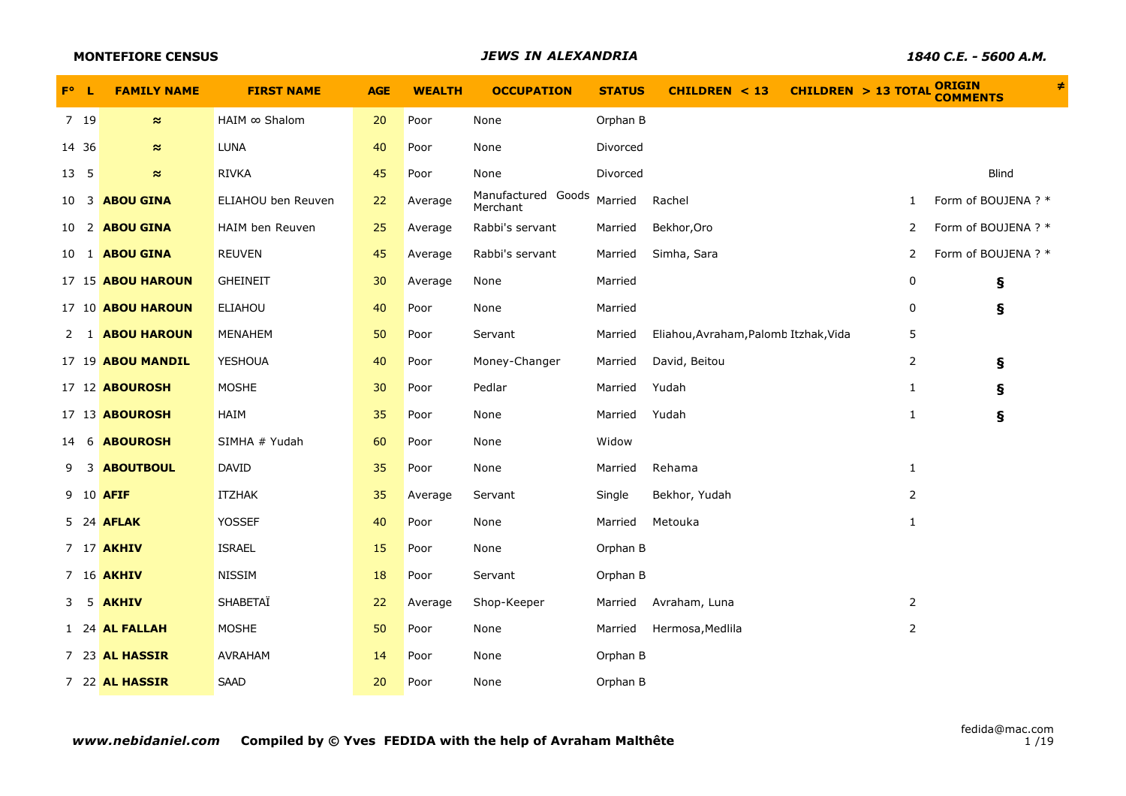|               | <b>MONTEFIORE CENSUS</b> |                      |            |               | <b>JEWS IN ALEXANDRIA</b>      |               | 1840 C.E. - 5600 A.M.                            |                |                                  |   |
|---------------|--------------------------|----------------------|------------|---------------|--------------------------------|---------------|--------------------------------------------------|----------------|----------------------------------|---|
| $F^{\circ}$ L | <b>FAMILY NAME</b>       | <b>FIRST NAME</b>    | <b>AGE</b> | <b>WEALTH</b> | <b>OCCUPATION</b>              | <b>STATUS</b> | CHILDREN $<$ 13<br><b>CHILDREN &gt; 13 TOTAL</b> |                | <b>ORIGIN</b><br><b>COMMENTS</b> | ≠ |
| 7 19          | $\approx$                | $HAIM \infty$ Shalom | 20         | Poor          | None                           | Orphan B      |                                                  |                |                                  |   |
| 14 36         | $\approx$                | <b>LUNA</b>          | 40         | Poor          | None                           | Divorced      |                                                  |                |                                  |   |
| 13 5          | $\approx$                | <b>RIVKA</b>         | 45         | Poor          | None                           | Divorced      |                                                  |                | <b>Blind</b>                     |   |
|               | 10 3 <b>ABOU GINA</b>    | ELIAHOU ben Reuven   | 22         | Average       | Manufactured Goods<br>Merchant | Married       | Rachel                                           | 1              | Form of BOUJENA ? *              |   |
|               | 10 2 <b>ABOU GINA</b>    | HAIM ben Reuven      | 25         | Average       | Rabbi's servant                | Married       | Bekhor, Oro                                      | 2              | Form of BOUJENA ? *              |   |
|               | 10 1 <b>ABOU GINA</b>    | <b>REUVEN</b>        | 45         | Average       | Rabbi's servant                | Married       | Simha, Sara                                      | 2              | Form of BOUJENA ? *              |   |
|               | 17 15 ABOU HAROUN        | <b>GHEINEIT</b>      | 30         | Average       | None                           | Married       |                                                  | 0              | ş                                |   |
|               | 17 10 <b>ABOU HAROUN</b> | <b>ELIAHOU</b>       | 40         | Poor          | None                           | Married       |                                                  | 0              | ş                                |   |
|               | 2 1 <b>ABOU HAROUN</b>   | MENAHEM              | 50         | Poor          | Servant                        | Married       | Eliahou, Avraham, Palomb Itzhak, Vida            | 5              |                                  |   |
|               | 17 19 <b>ABOU MANDIL</b> | YESHOUA              | 40         | Poor          | Money-Changer                  | Married       | David, Beitou                                    | $\overline{2}$ | ş                                |   |
|               | 17 12 <b>ABOUROSH</b>    | <b>MOSHE</b>         | 30         | Poor          | Pedlar                         | Married       | Yudah                                            | $\mathbf{1}$   | $\pmb{\S}$                       |   |
|               | 17 13 <b>ABOUROSH</b>    | HAIM                 | 35         | Poor          | None                           | Married       | Yudah                                            | $\mathbf{1}$   | $\pmb{\S}$                       |   |
|               | 14 6 <b>ABOUROSH</b>     | SIMHA # Yudah        | 60         | Poor          | None                           | Widow         |                                                  |                |                                  |   |
| 9             | <b>3 ABOUTBOUL</b>       | <b>DAVID</b>         | 35         | Poor          | None                           | Married       | Rehama                                           | $\mathbf{1}$   |                                  |   |
|               | 9 10 AFIF                | ITZHAK               | 35         | Average       | Servant                        | Single        | Bekhor, Yudah                                    | 2              |                                  |   |
|               | 5 24 <b>AFLAK</b>        | <b>YOSSEF</b>        | 40         | Poor          | None                           | Married       | Metouka                                          | $\mathbf{1}$   |                                  |   |
|               | 7 17 <b>AKHIV</b>        | <b>ISRAEL</b>        | 15         | Poor          | None                           | Orphan B      |                                                  |                |                                  |   |
|               | 7 16 <b>AKHIV</b>        | <b>NISSIM</b>        | 18         | Poor          | Servant                        | Orphan B      |                                                  |                |                                  |   |
|               | 3 5 AKHIV                | SHABETAÏ             | 22         | Average       | Shop-Keeper                    | Married       | Avraham, Luna                                    | 2              |                                  |   |
|               | 1 24 AL FALLAH           | <b>MOSHE</b>         | 50         | Poor          | None                           | Married       | Hermosa, Medlila                                 | $\overline{2}$ |                                  |   |
|               | 7 23 AL HASSIR           | AVRAHAM              | 14         | Poor          | None                           | Orphan B      |                                                  |                |                                  |   |
|               | 7 22 AL HASSIR           | <b>SAAD</b>          | 20         | Poor          | None                           | Orphan B      |                                                  |                |                                  |   |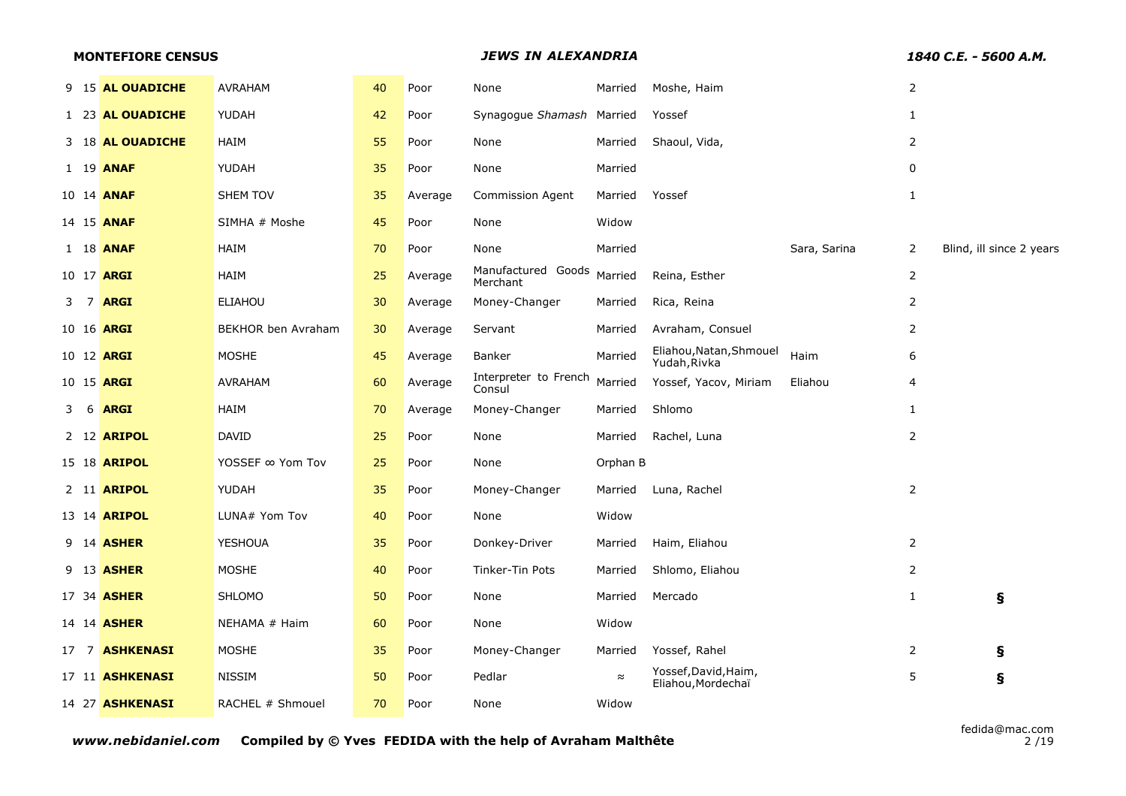|   | <b>MONTEFIORE CENSUS</b> |                     |                    |    |         | <b>JEWS IN ALEXANDRIA</b>              | 1840 C.E. - 5600 A.M. |                                            |              |                |                          |
|---|--------------------------|---------------------|--------------------|----|---------|----------------------------------------|-----------------------|--------------------------------------------|--------------|----------------|--------------------------|
|   |                          | 9 15 AL OUADICHE    | AVRAHAM            | 40 | Poor    | None                                   | Married               | Moshe, Haim                                |              | $\overline{2}$ |                          |
|   |                          | 1 23 AL OUADICHE    | YUDAH              | 42 | Poor    | Synagogue Shamash Married              |                       | Yossef                                     |              | $\mathbf{1}$   |                          |
|   |                          | 3 18 AL OUADICHE    | HAIM               | 55 | Poor    | None                                   | Married               | Shaoul, Vida,                              |              | 2              |                          |
|   |                          | 1 19 <b>ANAF</b>    | YUDAH              | 35 | Poor    | None                                   | Married               |                                            |              | 0              |                          |
|   |                          | 10 14 <b>ANAF</b>   | <b>SHEM TOV</b>    | 35 | Average | <b>Commission Agent</b>                | Married               | Yossef                                     |              | $\mathbf{1}$   |                          |
|   |                          | 14 15 <b>ANAF</b>   | SIMHA # Moshe      | 45 | Poor    | None                                   | Widow                 |                                            |              |                |                          |
|   |                          | 1 18 <b>ANAF</b>    | HAIM               | 70 | Poor    | None                                   | Married               |                                            | Sara, Sarina | 2              | Blind, ill since 2 years |
|   |                          | 10 17 <b>ARGI</b>   | HAIM               | 25 | Average | Manufactured Goods Married<br>Merchant |                       | Reina, Esther                              |              | $\overline{2}$ |                          |
|   | 3 7                      | <b>ARGI</b>         | <b>ELIAHOU</b>     | 30 | Average | Money-Changer                          | Married               | Rica, Reina                                |              | $\overline{2}$ |                          |
|   |                          | 10 16 <b>ARGI</b>   | BEKHOR ben Avraham | 30 | Average | Servant                                | Married               | Avraham, Consuel                           |              | 2              |                          |
|   |                          | 10 12 ARGI          | <b>MOSHE</b>       | 45 | Average | Banker                                 | Married               | Eliahou, Natan, Shmouel<br>Yudah, Rivka    | Haim         | 6              |                          |
|   |                          | 10 15 ARGI          | <b>AVRAHAM</b>     | 60 | Average | Interpreter to French<br>Consul        | Married               | Yossef, Yacov, Miriam                      | Eliahou      | $\overline{4}$ |                          |
| 3 | - 6                      | <b>ARGI</b>         | HAIM               | 70 | Average | Money-Changer                          | Married               | Shlomo                                     |              | 1              |                          |
|   |                          | 2 12 ARIPOL         | <b>DAVID</b>       | 25 | Poor    | None                                   | Married               | Rachel, Luna                               |              | 2              |                          |
|   |                          | 15 18 <b>ARIPOL</b> | YOSSEF ∞ Yom Tov   | 25 | Poor    | None                                   | Orphan B              |                                            |              |                |                          |
|   |                          | 2 11 ARIPOL         | YUDAH              | 35 | Poor    | Money-Changer                          | Married               | Luna, Rachel                               |              | $\overline{2}$ |                          |
|   |                          | 13 14 <b>ARIPOL</b> | LUNA# Yom Tov      | 40 | Poor    | None                                   | Widow                 |                                            |              |                |                          |
|   |                          | 9 14 <b>ASHER</b>   | YESHOUA            | 35 | Poor    | Donkey-Driver                          | Married               | Haim, Eliahou                              |              | 2              |                          |
|   |                          | 9 13 <b>ASHER</b>   | <b>MOSHE</b>       | 40 | Poor    | Tinker-Tin Pots                        | Married               | Shlomo, Eliahou                            |              | 2              |                          |
|   |                          | 17 34 <b>ASHER</b>  | <b>SHLOMO</b>      | 50 | Poor    | None                                   | Married               | Mercado                                    |              | 1              | ş                        |
|   |                          | 14 14 <b>ASHER</b>  | NEHAMA # Haim      | 60 | Poor    | None                                   | Widow                 |                                            |              |                |                          |
|   |                          | 17 7 ASHKENASI      | <b>MOSHE</b>       | 35 | Poor    | Money-Changer                          | Married               | Yossef, Rahel                              |              | 2              | ş                        |
|   |                          | 17 11 ASHKENASI     | <b>NISSIM</b>      | 50 | Poor    | Pedlar                                 | $\approx$             | Yossef, David, Haim,<br>Eliahou, Mordechaï |              | 5              | ş                        |
|   |                          | 14 27 ASHKENASI     | RACHEL # Shmouel   | 70 | Poor    | None                                   | Widow                 |                                            |              |                |                          |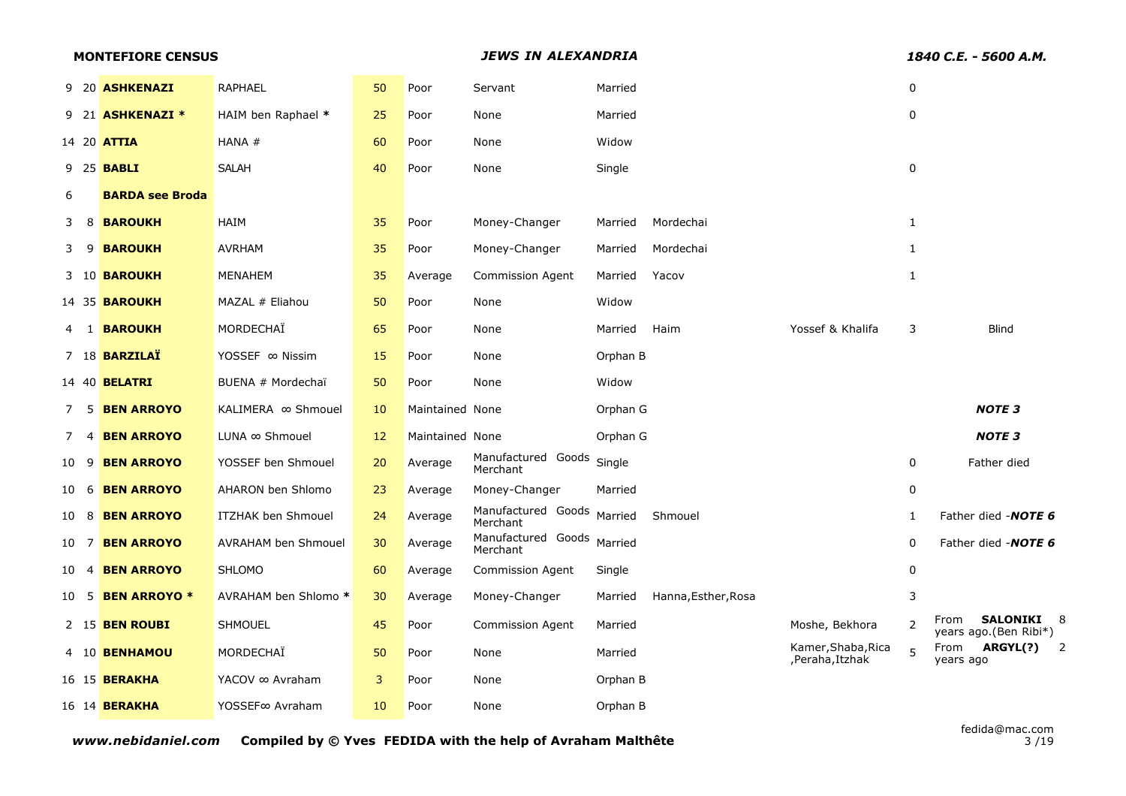|      | <b>MONTEFIORE CENSUS</b> |                          |                            |    | JEWS IN ALEXANDRIA |                                |          |                     | 1840 C.E. - 5600 A.M.                |              |                                                    |
|------|--------------------------|--------------------------|----------------------------|----|--------------------|--------------------------------|----------|---------------------|--------------------------------------|--------------|----------------------------------------------------|
|      |                          | 9 20 ASHKENAZI           | <b>RAPHAEL</b>             | 50 | Poor               | Servant                        | Married  |                     |                                      | 0            |                                                    |
|      |                          | 9 21 <b>ASHKENAZI *</b>  | HAIM ben Raphael *         | 25 | Poor               | None                           | Married  |                     |                                      | 0            |                                                    |
|      |                          | 14 20 <b>ATTIA</b>       | HANA #                     | 60 | Poor               | None                           | Widow    |                     |                                      |              |                                                    |
|      |                          | 9 25 <b>BABLI</b>        | <b>SALAH</b>               | 40 | Poor               | None                           | Single   |                     |                                      | $\mathbf 0$  |                                                    |
| 6    |                          | <b>BARDA see Broda</b>   |                            |    |                    |                                |          |                     |                                      |              |                                                    |
| 3    | 8                        | <b>BAROUKH</b>           | HAIM                       | 35 | Poor               | Money-Changer                  | Married  | Mordechai           |                                      | $\mathbf{1}$ |                                                    |
| 39   |                          | <b>BAROUKH</b>           | <b>AVRHAM</b>              | 35 | Poor               | Money-Changer                  | Married  | Mordechai           |                                      | $\mathbf{1}$ |                                                    |
|      |                          | 3 10 <b>BAROUKH</b>      | MENAHEM                    | 35 | Average            | <b>Commission Agent</b>        | Married  | Yacov               |                                      | $\mathbf{1}$ |                                                    |
|      |                          | 14 35 <b>BAROUKH</b>     | MAZAL # Eliahou            | 50 | Poor               | None                           | Widow    |                     |                                      |              |                                                    |
| 4 1  |                          | <b>BAROUKH</b>           | MORDECHAÏ                  | 65 | Poor               | None                           | Married  | Haim                | Yossef & Khalifa                     | 3            | <b>Blind</b>                                       |
|      |                          | 7 18 <b>BARZILAÏ</b>     | YOSSEF ∞ Nissim            | 15 | Poor               | None                           | Orphan B |                     |                                      |              |                                                    |
|      |                          | 14 40 <b>BELATRI</b>     | BUENA # Mordechaï          | 50 | Poor               | None                           | Widow    |                     |                                      |              |                                                    |
| 7    | -5                       | <b>BEN ARROYO</b>        | KALIMERA ∞ Shmouel         | 10 | Maintained None    |                                | Orphan G |                     |                                      |              | <b>NOTE 3</b>                                      |
| 7    | 4                        | <b>BEN ARROYO</b>        | LUNA ∞ Shmouel             | 12 | Maintained None    |                                | Orphan G |                     |                                      |              | <b>NOTE 3</b>                                      |
| 10 9 |                          | <b>BEN ARROYO</b>        | YOSSEF ben Shmouel         | 20 | Average            | Manufactured Goods<br>Merchant | Single   |                     |                                      | 0            | Father died                                        |
| 10 6 |                          | <b>BEN ARROYO</b>        | AHARON ben Shlomo          | 23 | Average            | Money-Changer                  | Married  |                     |                                      | 0            |                                                    |
| 10 8 |                          | <b>BEN ARROYO</b>        | <b>ITZHAK ben Shmouel</b>  | 24 | Average            | Manufactured Goods<br>Merchant | Married  | Shmouel             |                                      | 1            | Father died - NOTE 6                               |
| 10 7 |                          | <b>BEN ARROYO</b>        | <b>AVRAHAM ben Shmouel</b> | 30 | Average            | Manufactured Goods<br>Merchant | Married  |                     |                                      | $\mathbf 0$  | Father died - NOTE 6                               |
| 10 4 |                          | <b>BEN ARROYO</b>        | <b>SHLOMO</b>              | 60 | Average            | Commission Agent               | Single   |                     |                                      | 0            |                                                    |
|      |                          | 10 5 <b>BEN ARROYO *</b> | AVRAHAM ben Shlomo *       | 30 | Average            | Money-Changer                  | Married  | Hanna, Esther, Rosa |                                      | 3            |                                                    |
|      |                          | 2 15 BEN ROUBI           | <b>SHMOUEL</b>             | 45 | Poor               | <b>Commission Agent</b>        | Married  |                     | Moshe, Bekhora                       | 2            | <b>SALONIKI 8</b><br>From<br>years ago.(Ben Ribi*) |
|      |                          | 4 10 BENHAMOU            | MORDECHAÏ                  | 50 | Poor               | None                           | Married  |                     | Kamer, Shaba, Rica<br>,Peraha,Itzhak | 5            | ARGYL(?)<br>$\overline{2}$<br>From<br>years ago    |
|      |                          | 16 15 <b>BERAKHA</b>     | YACOV ∞ Avraham            | 3  | Poor               | None                           | Orphan B |                     |                                      |              |                                                    |
|      |                          | 16 14 <b>BERAKHA</b>     | YOSSEF∞ Avraham            | 10 | Poor               | None                           | Orphan B |                     |                                      |              |                                                    |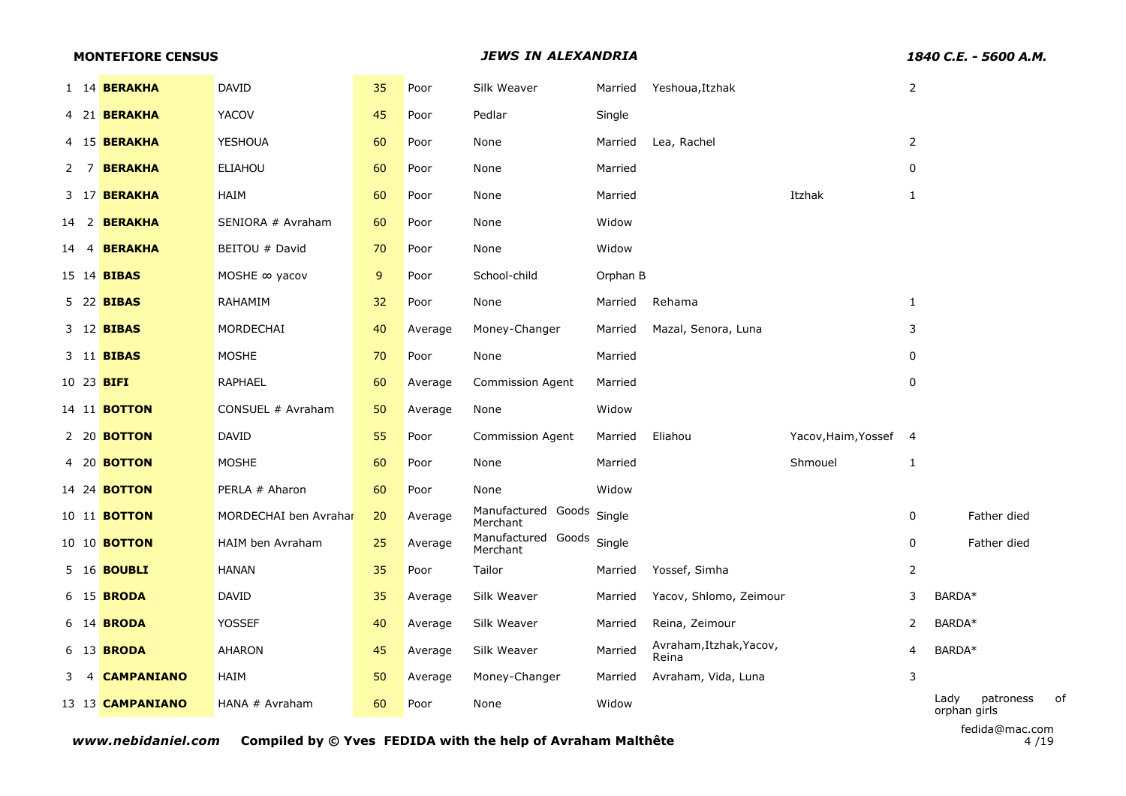| <b>MONTEFIORE CENSUS</b> |                       |    |         | JEWS IN ALEXANDRIA                    |          | 1840 C.E. - 5600 A.M.            |                     |                |                                         |
|--------------------------|-----------------------|----|---------|---------------------------------------|----------|----------------------------------|---------------------|----------------|-----------------------------------------|
| 1 14 <b>BERAKHA</b>      | <b>DAVID</b>          | 35 | Poor    | Silk Weaver                           | Married  | Yeshoua, Itzhak                  |                     | $\overline{2}$ |                                         |
| 4 21 <b>BERAKHA</b>      | YACOV                 | 45 | Poor    | Pedlar                                | Single   |                                  |                     |                |                                         |
| 4 15 <b>BERAKHA</b>      | <b>YESHOUA</b>        | 60 | Poor    | None                                  | Married  | Lea, Rachel                      |                     | $\overline{2}$ |                                         |
| 2 7 BERAKHA              | <b>ELIAHOU</b>        | 60 | Poor    | None                                  | Married  |                                  |                     | $\mathbf 0$    |                                         |
| 3 17 <b>BERAKHA</b>      | HAIM                  | 60 | Poor    | None                                  | Married  |                                  | Itzhak              | $\mathbf{1}$   |                                         |
| 14 2 <b>BERAKHA</b>      | SENIORA # Avraham     | 60 | Poor    | None                                  | Widow    |                                  |                     |                |                                         |
| <b>BERAKHA</b><br>14 4   | BEITOU # David        | 70 | Poor    | None                                  | Widow    |                                  |                     |                |                                         |
| 15 14 <b>BIBAS</b>       | MOSHE $\infty$ yacov  | 9  | Poor    | School-child                          | Orphan B |                                  |                     |                |                                         |
| 5 22 <b>BIBAS</b>        | RAHAMIM               | 32 | Poor    | None                                  | Married  | Rehama                           |                     | $\mathbf{1}$   |                                         |
| 3 12 <b>BIBAS</b>        | MORDECHAI             | 40 | Average | Money-Changer                         | Married  | Mazal, Senora, Luna              |                     | 3              |                                         |
| 3 11 <b>BIBAS</b>        | <b>MOSHE</b>          | 70 | Poor    | None                                  | Married  |                                  |                     | $\mathbf{0}$   |                                         |
| 10 23 <b>BIFI</b>        | <b>RAPHAEL</b>        | 60 | Average | <b>Commission Agent</b>               | Married  |                                  |                     | 0              |                                         |
| 14 11 <b>BOTTON</b>      | CONSUEL # Avraham     | 50 | Average | None                                  | Widow    |                                  |                     |                |                                         |
| 2 20 <b>BOTTON</b>       | DAVID                 | 55 | Poor    | <b>Commission Agent</b>               | Married  | Eliahou                          | Yacov, Haim, Yossef | $\overline{4}$ |                                         |
| 4 20 <b>BOTTON</b>       | <b>MOSHE</b>          | 60 | Poor    | None                                  | Married  |                                  | Shmouel             | $\mathbf{1}$   |                                         |
| 14 24 <b>BOTTON</b>      | PERLA # Aharon        | 60 | Poor    | None                                  | Widow    |                                  |                     |                |                                         |
| 10 11 <b>BOTTON</b>      | MORDECHAI ben Avrahar | 20 | Average | Manufactured Goods Single<br>Merchant |          |                                  |                     | 0              | Father died                             |
| 10 10 <b>BOTTON</b>      | HAIM ben Avraham      | 25 | Average | Manufactured Goods<br>Merchant        | Single   |                                  |                     | 0              | Father died                             |
| 5 16 <b>BOUBLI</b>       | <b>HANAN</b>          | 35 | Poor    | Tailor                                | Married  | Yossef, Simha                    |                     | $\overline{2}$ |                                         |
| 6 15 <b>BRODA</b>        | DAVID                 | 35 | Average | Silk Weaver                           | Married  | Yacov, Shlomo, Zeimour           |                     | 3              | BARDA*                                  |
| 6 14 <b>BRODA</b>        | YOSSEF                | 40 | Average | Silk Weaver                           | Married  | Reina, Zeimour                   |                     | 2              | BARDA*                                  |
| 6 13 <b>BRODA</b>        | <b>AHARON</b>         | 45 | Average | Silk Weaver                           | Married  | Avraham, Itzhak, Yacov,<br>Reina |                     | 4              | BARDA*                                  |
| 4 CAMPANIANO<br>3.       | HAIM                  | 50 | Average | Money-Changer                         | Married  | Avraham, Vida, Luna              |                     | 3              |                                         |
| 13 13 <b>CAMPANIANO</b>  | HANA # Avraham        | 60 | Poor    | None                                  | Widow    |                                  |                     |                | Lady<br>patroness<br>of<br>orphan girls |
|                          |                       |    |         |                                       |          |                                  |                     |                | fedida@mac.com                          |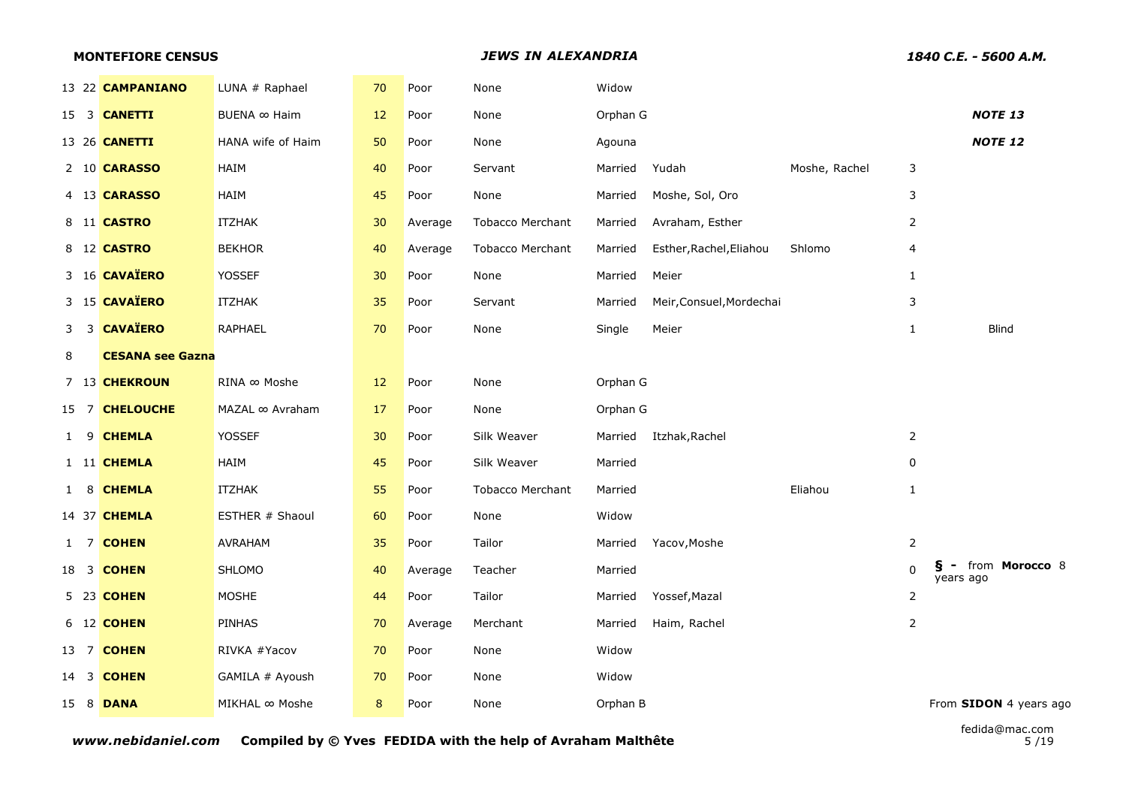|      | <b>MONTEFIORE CENSUS</b> |                         |  |                   | <b>JEWS IN ALEXANDRIA</b> |         |                         |          |                          |               |                | 1840 C.E. - 5600 A.M.            |                |                        |
|------|--------------------------|-------------------------|--|-------------------|---------------------------|---------|-------------------------|----------|--------------------------|---------------|----------------|----------------------------------|----------------|------------------------|
|      |                          | 13 22 CAMPANIANO        |  | LUNA # Raphael    | 70                        | Poor    | None                    | Widow    |                          |               |                |                                  |                |                        |
|      |                          | 15 3 <b>CANETTI</b>     |  | BUENA ∞ Haim      | 12                        | Poor    | None                    | Orphan G |                          |               |                |                                  | <b>NOTE 13</b> |                        |
|      |                          | 13 26 <b>CANETTI</b>    |  | HANA wife of Haim | 50                        | Poor    | None                    | Agouna   |                          |               |                |                                  | <b>NOTE 12</b> |                        |
|      |                          | 2 10 CARASSO            |  | HAIM              | 40                        | Poor    | Servant                 | Married  | Yudah                    | Moshe, Rachel | 3              |                                  |                |                        |
|      |                          | 4 13 CARASSO            |  | HAIM              | 45                        | Poor    | None                    | Married  | Moshe, Sol, Oro          |               | 3              |                                  |                |                        |
|      |                          | 8 11 <b>CASTRO</b>      |  | <b>ITZHAK</b>     | 30                        | Average | <b>Tobacco Merchant</b> | Married  | Avraham, Esther          |               | $\overline{2}$ |                                  |                |                        |
|      |                          | 8 12 <b>CASTRO</b>      |  | <b>BEKHOR</b>     | 40                        | Average | <b>Tobacco Merchant</b> | Married  | Esther, Rachel, Eliahou  | Shlomo        | 4              |                                  |                |                        |
|      |                          | 3 16 CAVAÏERO           |  | <b>YOSSEF</b>     | 30                        | Poor    | None                    | Married  | Meier                    |               | $\mathbf{1}$   |                                  |                |                        |
|      |                          | 3 15 CAVAÏERO           |  | <b>ITZHAK</b>     | 35                        | Poor    | Servant                 | Married  | Meir, Consuel, Mordechai |               | 3              |                                  |                |                        |
|      |                          | 3 3 CAVAÏERO            |  | <b>RAPHAEL</b>    | 70                        | Poor    | None                    | Single   | Meier                    |               | $\mathbf{1}$   |                                  | <b>Blind</b>   |                        |
| 8    |                          | <b>CESANA see Gazna</b> |  |                   |                           |         |                         |          |                          |               |                |                                  |                |                        |
|      |                          | 7 13 CHEKROUN           |  | RINA ∞ Moshe      | 12                        | Poor    | None                    | Orphan G |                          |               |                |                                  |                |                        |
| 15 7 |                          | <b>CHELOUCHE</b>        |  | MAZAL ∞ Avraham   | 17                        | Poor    | None                    | Orphan G |                          |               |                |                                  |                |                        |
|      |                          | 1 9 CHEMLA              |  | <b>YOSSEF</b>     | 30                        | Poor    | Silk Weaver             | Married  | Itzhak, Rachel           |               | $\overline{2}$ |                                  |                |                        |
|      |                          | 1 11 CHEMLA             |  | HAIM              | 45                        | Poor    | Silk Weaver             | Married  |                          |               | 0              |                                  |                |                        |
|      |                          | 1 8 CHEMLA              |  | <b>ITZHAK</b>     | 55                        | Poor    | <b>Tobacco Merchant</b> | Married  |                          | Eliahou       | $\mathbf{1}$   |                                  |                |                        |
|      |                          | 14 37 <b>CHEMLA</b>     |  | ESTHER # Shaoul   | 60                        | Poor    | None                    | Widow    |                          |               |                |                                  |                |                        |
|      |                          | 1 7 COHEN               |  | <b>AVRAHAM</b>    | 35                        | Poor    | Tailor                  | Married  | Yacov, Moshe             |               | $\overline{2}$ |                                  |                |                        |
|      |                          | 18 3 <b>COHEN</b>       |  | SHLOMO            | 40                        | Average | Teacher                 | Married  |                          |               | $\Omega$       | ş<br>$\blacksquare$<br>years ago |                | from Morocco 8         |
|      |                          | 5 23 <b>COHEN</b>       |  | <b>MOSHE</b>      | 44                        | Poor    | Tailor                  | Married  | Yossef, Mazal            |               | $\overline{2}$ |                                  |                |                        |
|      |                          | 6 12 <b>COHEN</b>       |  | <b>PINHAS</b>     | 70                        | Average | Merchant                | Married  | Haim, Rachel             |               | $\overline{2}$ |                                  |                |                        |
|      |                          | 13 7 <b>COHEN</b>       |  | RIVKA #Yacov      | 70                        | Poor    | None                    | Widow    |                          |               |                |                                  |                |                        |
|      |                          | 14 3 <b>COHEN</b>       |  | GAMILA # Ayoush   | 70                        | Poor    | None                    | Widow    |                          |               |                |                                  |                |                        |
|      |                          | 15 8 <b>DANA</b>        |  | MIKHAL ∞ Moshe    | 8                         | Poor    | None                    | Orphan B |                          |               |                |                                  |                | From SIDON 4 years ago |
|      |                          |                         |  |                   |                           |         |                         |          |                          |               |                |                                  |                |                        |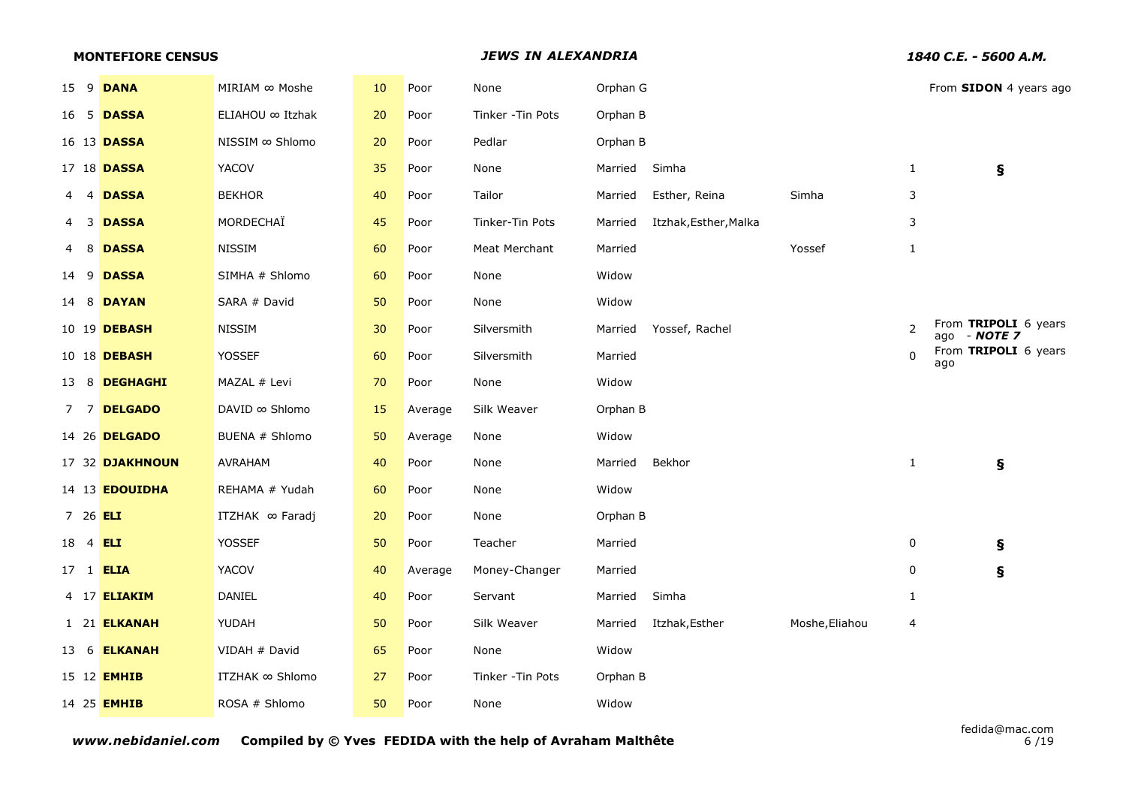|                  | <b>MONTEFIORE CENSUS</b> |                        |    |         | <b>JEWS IN ALEXANDRIA</b> |          | 1840 C.E. - 5600 A.M. |                |              |                                      |
|------------------|--------------------------|------------------------|----|---------|---------------------------|----------|-----------------------|----------------|--------------|--------------------------------------|
|                  | 15 9 <b>DANA</b>         | MIRIAM ∞ Moshe         | 10 | Poor    | None                      | Orphan G |                       |                |              | From SIDON 4 years ago               |
|                  | 16 5 <b>DASSA</b>        | ELIAHOU ∞ Itzhak       | 20 | Poor    | Tinker - Tin Pots         | Orphan B |                       |                |              |                                      |
|                  | 16 13 <b>DASSA</b>       | NISSIM ∞ Shlomo        | 20 | Poor    | Pedlar                    | Orphan B |                       |                |              |                                      |
|                  | 17 18 <b>DASSA</b>       | <b>YACOV</b>           | 35 | Poor    | None                      | Married  | Simha                 |                | $\mathbf{1}$ | ş                                    |
|                  | 4 4 DASSA                | <b>BEKHOR</b>          | 40 | Poor    | Tailor                    | Married  | Esther, Reina         | Simha          | 3            |                                      |
| -3<br>4          | <b>DASSA</b>             | MORDECHAÏ              | 45 | Poor    | Tinker-Tin Pots           | Married  | Itzhak, Esther, Malka |                | 3            |                                      |
|                  | 4 8 DASSA                | <b>NISSIM</b>          | 60 | Poor    | Meat Merchant             | Married  |                       | Yossef         | $\mathbf{1}$ |                                      |
| 14 9             | <b>DASSA</b>             | SIMHA # Shlomo         | 60 | Poor    | None                      | Widow    |                       |                |              |                                      |
|                  | 14 8 <b>DAYAN</b>        | SARA # David           | 50 | Poor    | None                      | Widow    |                       |                |              |                                      |
|                  | 10 19 DEBASH             | <b>NISSIM</b>          | 30 | Poor    | Silversmith               | Married  | Yossef, Rachel        |                | 2            | From TRIPOLI 6 years<br>ago - NOTE 7 |
|                  | 10 18 DEBASH             | <b>YOSSEF</b>          | 60 | Poor    | Silversmith               | Married  |                       |                | $\mathbf{0}$ | From TRIPOLI 6 years<br>ago          |
|                  | 13 8 DEGHAGHI            | MAZAL # Levi           | 70 | Poor    | None                      | Widow    |                       |                |              |                                      |
|                  | 7 7 DELGADO              | DAVID ∞ Shlomo         | 15 | Average | Silk Weaver               | Orphan B |                       |                |              |                                      |
|                  | 14 26 DELGADO            | BUENA # Shlomo         | 50 | Average | None                      | Widow    |                       |                |              |                                      |
|                  | 17 32 DJAKHNOUN          | <b>AVRAHAM</b>         | 40 | Poor    | None                      | Married  | Bekhor                |                | $\mathbf{1}$ | ş                                    |
|                  | 14 13 <b>EDOUIDHA</b>    | REHAMA # Yudah         | 60 | Poor    | None                      | Widow    |                       |                |              |                                      |
| 7 26 ELI         |                          | ITZHAK ∞ Faradj        | 20 | Poor    | None                      | Orphan B |                       |                |              |                                      |
| 18 4 <b>ELI</b>  |                          | <b>YOSSEF</b>          | 50 | Poor    | Teacher                   | Married  |                       |                | 0            | Ş                                    |
| 17 1 <b>ELIA</b> |                          | YACOV                  | 40 | Average | Money-Changer             | Married  |                       |                | 0            | ş                                    |
|                  | 4 17 <b>ELIAKIM</b>      | DANIEL                 | 40 | Poor    | Servant                   | Married  | Simha                 |                | $\mathbf{1}$ |                                      |
|                  | 1 21 ELKANAH             | YUDAH                  | 50 | Poor    | Silk Weaver               | Married  | Itzhak, Esther        | Moshe, Eliahou | 4            |                                      |
|                  | 13 6 <b>ELKANAH</b>      | VIDAH # David          | 65 | Poor    | None                      | Widow    |                       |                |              |                                      |
|                  | 15 12 <b>EMHIB</b>       | <b>ITZHAK ∞ Shlomo</b> | 27 | Poor    | Tinker - Tin Pots         | Orphan B |                       |                |              |                                      |
|                  | 14 25 <b>EMHIB</b>       | ROSA # Shlomo          | 50 | Poor    | None                      | Widow    |                       |                |              |                                      |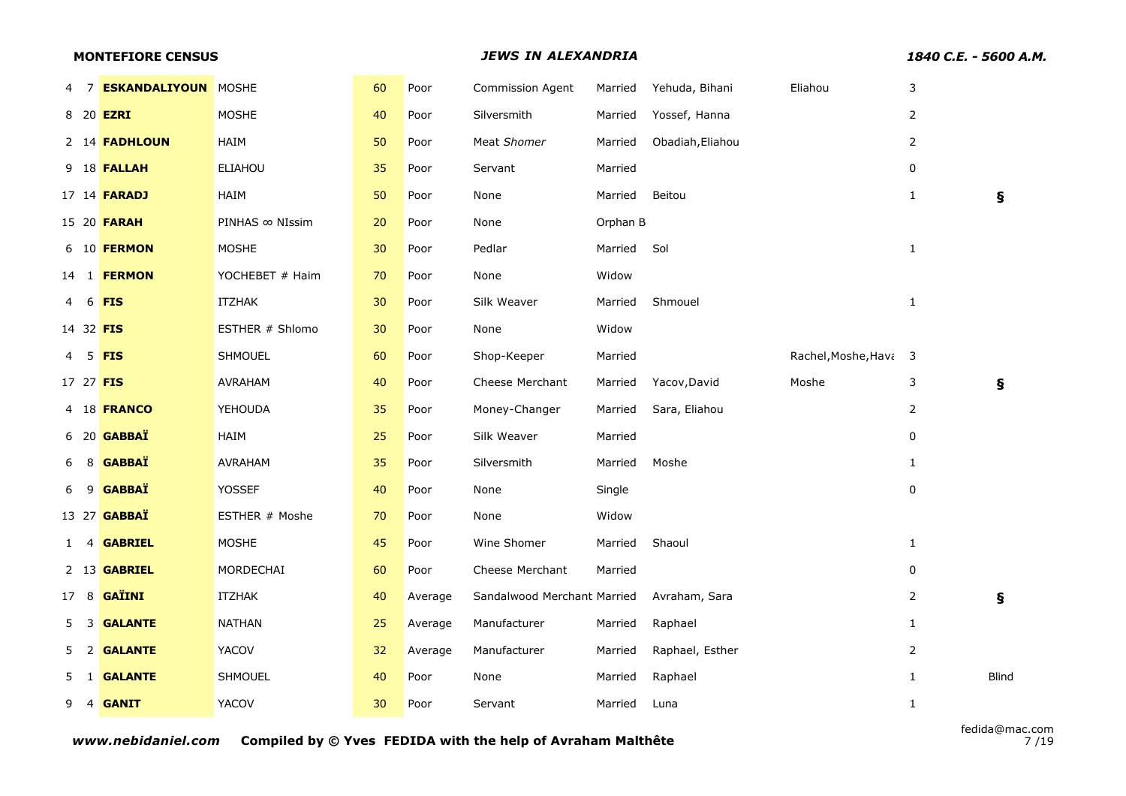|           |   | <b>MONTEFIORE CENSUS</b>   |                 |    |         | 1840 C.E. - 5600 A.M.       |          |                  |                       |                |              |
|-----------|---|----------------------------|-----------------|----|---------|-----------------------------|----------|------------------|-----------------------|----------------|--------------|
| 47        |   | <b>ESKANDALIYOUN MOSHE</b> |                 | 60 | Poor    | <b>Commission Agent</b>     | Married  | Yehuda, Bihani   | Eliahou               | 3              |              |
|           |   | 8 20 <b>EZRI</b>           | <b>MOSHE</b>    | 40 | Poor    | Silversmith                 | Married  | Yossef, Hanna    |                       | $\overline{2}$ |              |
|           |   | 2 14 <b>FADHLOUN</b>       | HAIM            | 50 | Poor    | Meat Shomer                 | Married  | Obadiah, Eliahou |                       | $\overline{2}$ |              |
|           |   | 9 18 <b>FALLAH</b>         | <b>ELIAHOU</b>  | 35 | Poor    | Servant                     | Married  |                  |                       | 0              |              |
|           |   | 17 14 <b>FARADJ</b>        | HAIM            | 50 | Poor    | None                        | Married  | Beitou           |                       | 1              | Ş            |
|           |   | 15 20 <b>FARAH</b>         | PINHAS ∞ NIssim | 20 | Poor    | None                        | Orphan B |                  |                       |                |              |
|           |   | 6 10 <b>FERMON</b>         | <b>MOSHE</b>    | 30 | Poor    | Pedlar                      | Married  | Sol              |                       | $\mathbf{1}$   |              |
|           |   | 14 1 <b>FERMON</b>         | YOCHEBET # Haim | 70 | Poor    | None                        | Widow    |                  |                       |                |              |
| 4         | 6 | <b>FIS</b>                 | <b>ITZHAK</b>   | 30 | Poor    | Silk Weaver                 | Married  | Shmouel          |                       | $\mathbf{1}$   |              |
| 14 32 FIS |   |                            | ESTHER # Shlomo | 30 | Poor    | None                        | Widow    |                  |                       |                |              |
| 4         |   | 5 <b>FIS</b>               | SHMOUEL         | 60 | Poor    | Shop-Keeper                 | Married  |                  | Rachel, Moshe, Hava 3 |                |              |
| 17 27 FIS |   |                            | <b>AVRAHAM</b>  | 40 | Poor    | Cheese Merchant             | Married  | Yacov, David     | Moshe                 | 3              | ş            |
|           |   | 4 18 FRANCO                | <b>YEHOUDA</b>  | 35 | Poor    | Money-Changer               | Married  | Sara, Eliahou    |                       | $\overline{2}$ |              |
|           |   | 6 20 <b>GABBAÏ</b>         | HAIM            | 25 | Poor    | Silk Weaver                 | Married  |                  |                       | $\pmb{0}$      |              |
| 6         |   | 8 GABBAÏ                   | <b>AVRAHAM</b>  | 35 | Poor    | Silversmith                 | Married  | Moshe            |                       | $\mathbf{1}$   |              |
| 6         |   | 9 GABBAÏ                   | <b>YOSSEF</b>   | 40 | Poor    | None                        | Single   |                  |                       | $\pmb{0}$      |              |
|           |   | 13 27 <b>GABBAÏ</b>        | ESTHER # Moshe  | 70 | Poor    | None                        | Widow    |                  |                       |                |              |
|           |   | 1 4 GABRIEL                | <b>MOSHE</b>    | 45 | Poor    | Wine Shomer                 | Married  | Shaoul           |                       | $\mathbf{1}$   |              |
|           |   | 2 13 GABRIEL               | MORDECHAI       | 60 | Poor    | Cheese Merchant             | Married  |                  |                       | 0              |              |
|           |   | 17 8 GAÏINI                | <b>ITZHAK</b>   | 40 | Average | Sandalwood Merchant Married |          | Avraham, Sara    |                       | $\overline{2}$ | ş            |
| 5         |   | 3 <b>GALANTE</b>           | <b>NATHAN</b>   | 25 | Average | Manufacturer                | Married  | Raphael          |                       | $\mathbf{1}$   |              |
| 5.        |   | 2 GALANTE                  | YACOV           | 32 | Average | Manufacturer                | Married  | Raphael, Esther  |                       | $\overline{2}$ |              |
|           |   | 5 1 GALANTE                | <b>SHMOUEL</b>  | 40 | Poor    | None                        | Married  | Raphael          |                       | $\mathbf{1}$   | <b>Blind</b> |
| 9         |   | 4 GANIT                    | <b>YACOV</b>    | 30 | Poor    | Servant                     | Married  | Luna             |                       | $\mathbf{1}$   |              |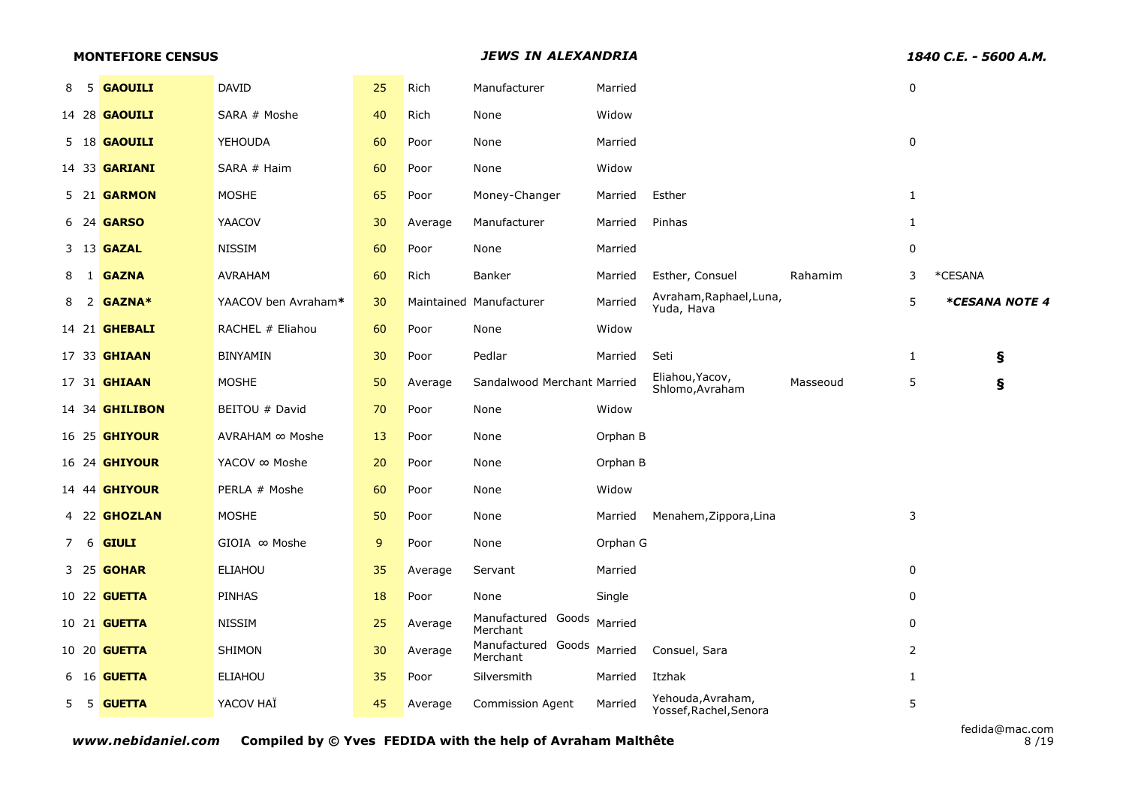|     | <b>MONTEFIORE CENSUS</b> |                       |                     |    |         | <b>JEWS IN ALEXANDRIA</b>      |          |                                             |          | 1840 C.E. - 5600 A.M. |                |
|-----|--------------------------|-----------------------|---------------------|----|---------|--------------------------------|----------|---------------------------------------------|----------|-----------------------|----------------|
| 8 5 |                          | <b>GAOUILI</b>        | <b>DAVID</b>        | 25 | Rich    | Manufacturer                   | Married  |                                             |          | $\pmb{0}$             |                |
|     |                          | 14 28 <b>GAOUILI</b>  | SARA # Moshe        | 40 | Rich    | None                           | Widow    |                                             |          |                       |                |
|     |                          | 5 18 <b>GAOUILI</b>   | YEHOUDA             | 60 | Poor    | None                           | Married  |                                             |          | 0                     |                |
|     |                          | 14 33 <b>GARIANI</b>  | SARA # Haim         | 60 | Poor    | None                           | Widow    |                                             |          |                       |                |
|     |                          | 5 21 <b>GARMON</b>    | <b>MOSHE</b>        | 65 | Poor    | Money-Changer                  | Married  | Esther                                      |          | $\mathbf{1}$          |                |
|     |                          | 6 24 <b>GARSO</b>     | <b>YAACOV</b>       | 30 | Average | Manufacturer                   | Married  | Pinhas                                      |          | $\mathbf{1}$          |                |
|     |                          | 3 13 <b>GAZAL</b>     | <b>NISSIM</b>       | 60 | Poor    | None                           | Married  |                                             |          | 0                     |                |
|     |                          | 8 1 <b>GAZNA</b>      | AVRAHAM             | 60 | Rich    | Banker                         | Married  | Esther, Consuel                             | Rahamim  | 3                     | *CESANA        |
| 8   |                          | 2 GAZNA*              | YAACOV ben Avraham* | 30 |         | Maintained Manufacturer        | Married  | Avraham, Raphael, Luna,<br>Yuda, Hava       |          | 5                     | *CESANA NOTE 4 |
|     |                          | 14 21 <b>GHEBALI</b>  | RACHEL # Eliahou    | 60 | Poor    | None                           | Widow    |                                             |          |                       |                |
|     |                          | 17 33 <b>GHIAAN</b>   | <b>BINYAMIN</b>     | 30 | Poor    | Pedlar                         | Married  | Seti                                        |          | $\mathbf{1}$          | ş              |
|     |                          | 17 31 <b>GHIAAN</b>   | <b>MOSHE</b>        | 50 | Average | Sandalwood Merchant Married    |          | Eliahou, Yacov,<br>Shlomo, Avraham          | Masseoud | 5                     | ş              |
|     |                          | 14 34 <b>GHILIBON</b> | BEITOU # David      | 70 | Poor    | None                           | Widow    |                                             |          |                       |                |
|     |                          | 16 25 <b>GHIYOUR</b>  | AVRAHAM ∞ Moshe     | 13 | Poor    | None                           | Orphan B |                                             |          |                       |                |
|     |                          | 16 24 <b>GHIYOUR</b>  | YACOV ∞ Moshe       | 20 | Poor    | None                           | Orphan B |                                             |          |                       |                |
|     |                          | 14 44 <b>GHIYOUR</b>  | PERLA # Moshe       | 60 | Poor    | None                           | Widow    |                                             |          |                       |                |
|     |                          | 4 22 GHOZLAN          | <b>MOSHE</b>        | 50 | Poor    | None                           | Married  | Menahem, Zippora, Lina                      |          | 3                     |                |
| 7 6 |                          | <b>GIULI</b>          | GIOIA ∞ Moshe       | 9  | Poor    | None                           | Orphan G |                                             |          |                       |                |
|     |                          | 3 25 <b>GOHAR</b>     | <b>ELIAHOU</b>      | 35 | Average | Servant                        | Married  |                                             |          | $\pmb{0}$             |                |
|     |                          | 10 22 <b>GUETTA</b>   | <b>PINHAS</b>       | 18 | Poor    | None                           | Single   |                                             |          | 0                     |                |
|     |                          | 10 21 <b>GUETTA</b>   | <b>NISSIM</b>       | 25 | Average | Manufactured Goods<br>Merchant | Married  |                                             |          | 0                     |                |
|     |                          | 10 20 <b>GUETTA</b>   | <b>SHIMON</b>       | 30 | Average | Manufactured Goods<br>Merchant | Married  | Consuel, Sara                               |          | $\overline{2}$        |                |
|     |                          | 6 16 <b>GUETTA</b>    | <b>ELIAHOU</b>      | 35 | Poor    | Silversmith                    | Married  | Itzhak                                      |          | $\mathbf{1}$          |                |
|     |                          | 5 5 GUETTA            | YACOV HAÏ           | 45 | Average | <b>Commission Agent</b>        | Married  | Yehouda, Avraham,<br>Yossef, Rachel, Senora |          | 5                     |                |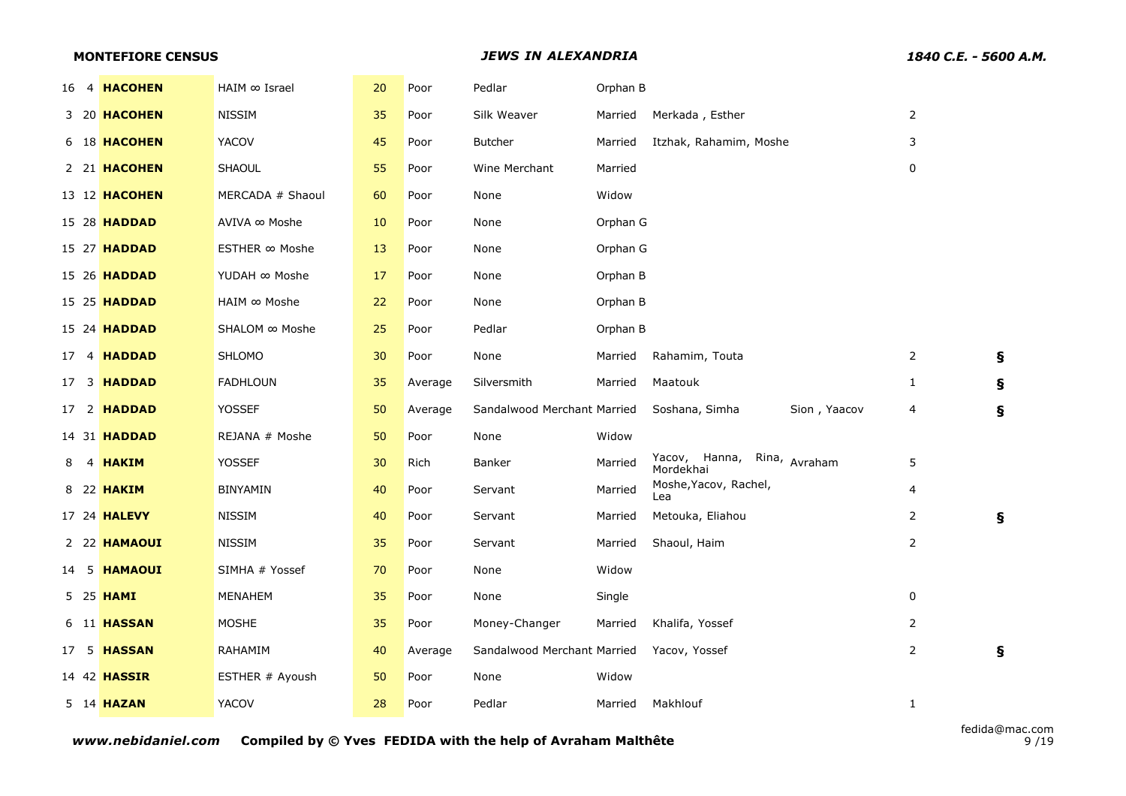|  | <b>MONTEFIORE CENSUS</b> |                  |    |         |                             | 1840 C.E. - 5600 A.M. |                                          |                |                           |
|--|--------------------------|------------------|----|---------|-----------------------------|-----------------------|------------------------------------------|----------------|---------------------------|
|  | 16 4 HACOHEN             | HAIM ∞ Israel    | 20 | Poor    | Pedlar                      | Orphan B              |                                          |                |                           |
|  | 3 20 HACOHEN             | <b>NISSIM</b>    | 35 | Poor    | Silk Weaver                 | Married               | Merkada, Esther                          | $\overline{2}$ |                           |
|  | 6 18 HACOHEN             | YACOV            | 45 | Poor    | <b>Butcher</b>              | Married               | Itzhak, Rahamim, Moshe                   | 3              |                           |
|  | 2 21 HACOHEN             | <b>SHAOUL</b>    | 55 | Poor    | Wine Merchant               | Married               |                                          | 0              |                           |
|  | 13 12 HACOHEN            | MERCADA # Shaoul | 60 | Poor    | None                        | Widow                 |                                          |                |                           |
|  | 15 28 <b>HADDAD</b>      | AVIVA ∞ Moshe    | 10 | Poor    | None                        | Orphan G              |                                          |                |                           |
|  | 15 27 <b>HADDAD</b>      | ESTHER ∞ Moshe   | 13 | Poor    | None                        | Orphan G              |                                          |                |                           |
|  | 15 26 <b>HADDAD</b>      | YUDAH ∞ Moshe    | 17 | Poor    | None                        | Orphan B              |                                          |                |                           |
|  | 15 25 <b>HADDAD</b>      | HAIM ∞ Moshe     | 22 | Poor    | None                        | Orphan B              |                                          |                |                           |
|  | 15 24 <b>HADDAD</b>      | SHALOM ∞ Moshe   | 25 | Poor    | Pedlar                      | Orphan B              |                                          |                |                           |
|  | 17 4 HADDAD              | <b>SHLOMO</b>    | 30 | Poor    | None                        | Married               | Rahamim, Touta                           | $\overline{2}$ | $\mathbf{s}$              |
|  | 17 3 <b>HADDAD</b>       | <b>FADHLOUN</b>  | 35 | Average | Silversmith                 | Married               | Maatouk                                  | $\mathbf{1}$   | Ş                         |
|  | 17 2 HADDAD              | <b>YOSSEF</b>    | 50 | Average | Sandalwood Merchant Married |                       | Soshana, Simha<br>Sion, Yaacov           | 4              | Ş                         |
|  | 14 31 <b>HADDAD</b>      | REJANA # Moshe   | 50 | Poor    | None                        | Widow                 |                                          |                |                           |
|  | 8 4 HAKIM                | YOSSEF           | 30 | Rich    | Banker                      | Married               | Yacov, Hanna, Rina, Avraham<br>Mordekhai | 5              |                           |
|  | 8 22 <b>HAKIM</b>        | <b>BINYAMIN</b>  | 40 | Poor    | Servant                     | Married               | Moshe, Yacov, Rachel,<br>Lea             | $\overline{4}$ |                           |
|  | 17 24 <b>HALEVY</b>      | <b>NISSIM</b>    | 40 | Poor    | Servant                     | Married               | Metouka, Eliahou                         | $\overline{2}$ | $\boldsymbol{\mathsf{s}}$ |
|  | 2 22 HAMAOUI             | <b>NISSIM</b>    | 35 | Poor    | Servant                     | Married               | Shaoul, Haim                             | $\overline{2}$ |                           |
|  | 14 5 HAMAOUI             | SIMHA # Yossef   | 70 | Poor    | None                        | Widow                 |                                          |                |                           |
|  | 5 25 <b>HAMI</b>         | <b>MENAHEM</b>   | 35 | Poor    | None                        | Single                |                                          | $\mathbf 0$    |                           |
|  | 6 11 HASSAN              | <b>MOSHE</b>     | 35 | Poor    | Money-Changer               | Married               | Khalifa, Yossef                          | $\overline{2}$ |                           |
|  | 17 5 <b>HASSAN</b>       | RAHAMIM          | 40 | Average | Sandalwood Merchant Married |                       | Yacov, Yossef                            | $\overline{2}$ | ş                         |
|  | 14 42 <b>HASSIR</b>      | ESTHER # Ayoush  | 50 | Poor    | None                        | Widow                 |                                          |                |                           |
|  | 5 14 HAZAN               | <b>YACOV</b>     | 28 | Poor    | Pedlar                      | Married               | Makhlouf                                 | $\mathbf{1}$   |                           |
|  |                          |                  |    |         |                             |                       |                                          |                |                           |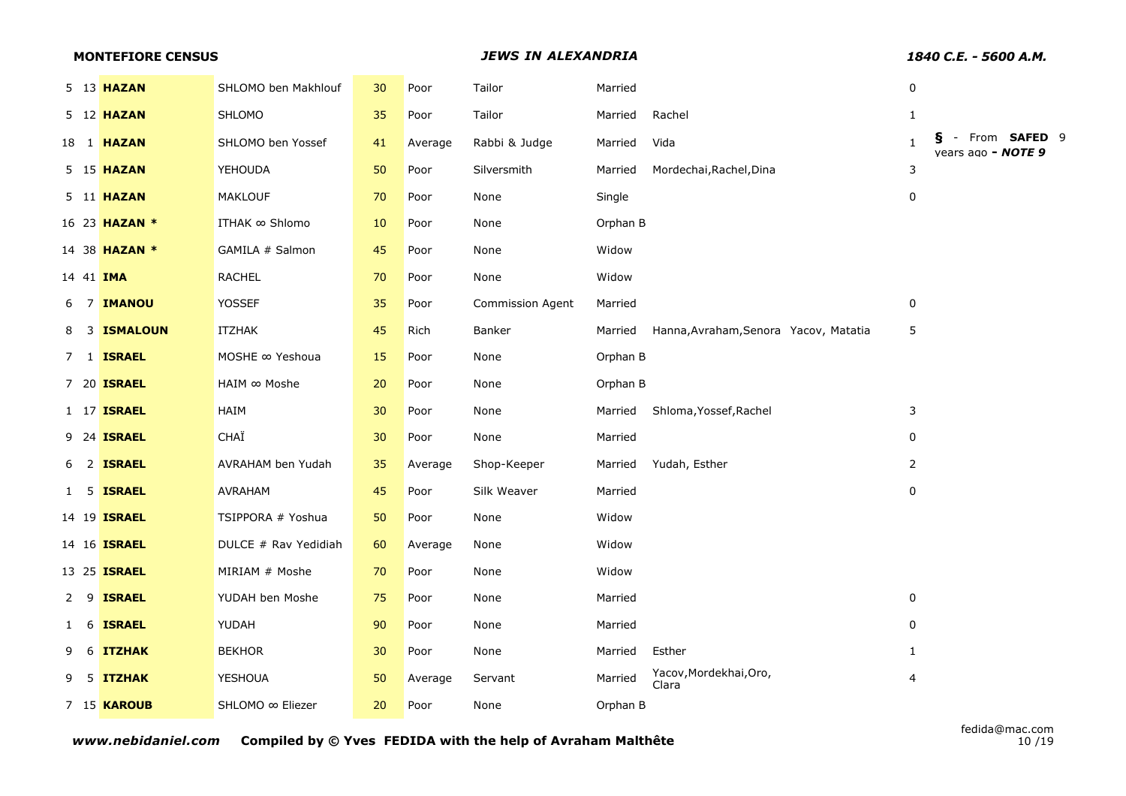|                |    | <b>MONTEFIORE CENSUS</b> |                       |    |         | <b>JEWS IN ALEXANDRIA</b> |          | 1840 C.E. - 5600 A.M.                 |                |                                      |
|----------------|----|--------------------------|-----------------------|----|---------|---------------------------|----------|---------------------------------------|----------------|--------------------------------------|
|                |    | 5 13 HAZAN               | SHLOMO ben Makhlouf   | 30 | Poor    | Tailor                    | Married  |                                       | $\pmb{0}$      |                                      |
|                |    | 5 12 <b>HAZAN</b>        | <b>SHLOMO</b>         | 35 | Poor    | Tailor                    | Married  | Rachel                                | $\mathbf{1}$   |                                      |
|                |    | 18 1 <b>HAZAN</b>        | SHLOMO ben Yossef     | 41 | Average | Rabbi & Judge             | Married  | Vida                                  | $\mathbf{1}$   | - From SAFED 9<br>vears ago - NOTE 9 |
|                |    | 5 15 <b>HAZAN</b>        | <b>YEHOUDA</b>        | 50 | Poor    | Silversmith               | Married  | Mordechai, Rachel, Dina               | 3              |                                      |
|                |    | 5 11 <b>HAZAN</b>        | <b>MAKLOUF</b>        | 70 | Poor    | None                      | Single   |                                       | 0              |                                      |
|                |    | 16 23 <b>HAZAN *</b>     | <b>ITHAK ∞ Shlomo</b> | 10 | Poor    | None                      | Orphan B |                                       |                |                                      |
|                |    | 14 38 <b>HAZAN *</b>     | GAMILA # Salmon       | 45 | Poor    | None                      | Widow    |                                       |                |                                      |
|                |    | 14 41 <b>IMA</b>         | <b>RACHEL</b>         | 70 | Poor    | None                      | Widow    |                                       |                |                                      |
|                |    | 6 7 <b>IMANOU</b>        | <b>YOSSEF</b>         | 35 | Poor    | Commission Agent          | Married  |                                       | 0              |                                      |
| 8              |    | <b>3 ISMALOUN</b>        | <b>ITZHAK</b>         | 45 | Rich    | Banker                    | Married  | Hanna, Avraham, Senora Yacov, Matatia | 5              |                                      |
|                |    | 7 1 <b>ISRAEL</b>        | MOSHE ∞ Yeshoua       | 15 | Poor    | None                      | Orphan B |                                       |                |                                      |
|                |    | 7 20 <b>ISRAEL</b>       | HAIM ∞ Moshe          | 20 | Poor    | None                      | Orphan B |                                       |                |                                      |
|                |    | 1 17 <b>ISRAEL</b>       | HAIM                  | 30 | Poor    | None                      | Married  | Shloma, Yossef, Rachel                | 3              |                                      |
|                |    | 9 24 <b>ISRAEL</b>       | CHAÏ                  | 30 | Poor    | None                      | Married  |                                       | $\mathbf 0$    |                                      |
|                |    | 6 2 <b>ISRAEL</b>        | AVRAHAM ben Yudah     | 35 | Average | Shop-Keeper               | Married  | Yudah, Esther                         | $\overline{2}$ |                                      |
|                |    | 1 5 <b>ISRAEL</b>        | AVRAHAM               | 45 | Poor    | Silk Weaver               | Married  |                                       | 0              |                                      |
|                |    | 14 19 <b>ISRAEL</b>      | TSIPPORA # Yoshua     | 50 | Poor    | None                      | Widow    |                                       |                |                                      |
|                |    | 14 16 <b>ISRAEL</b>      | DULCE # Rav Yedidiah  | 60 | Average | None                      | Widow    |                                       |                |                                      |
|                |    | 13 25 <b>ISRAEL</b>      | MIRIAM # Moshe        | 70 | Poor    | None                      | Widow    |                                       |                |                                      |
| 2 <sub>9</sub> |    | <b>ISRAEL</b>            | YUDAH ben Moshe       | 75 | Poor    | None                      | Married  |                                       | $\pmb{0}$      |                                      |
| 1 6            |    | <b>ISRAEL</b>            | YUDAH                 | 90 | Poor    | None                      | Married  |                                       | 0              |                                      |
| 9              | -6 | <b>ITZHAK</b>            | <b>BEKHOR</b>         | 30 | Poor    | None                      | Married  | Esther                                | $\mathbf{1}$   |                                      |
| 9              |    | 5 ITZHAK                 | <b>YESHOUA</b>        | 50 | Average | Servant                   | Married  | Yacov, Mordekhai, Oro,<br>Clara       | 4              |                                      |
|                |    | 7 15 <b>KAROUB</b>       | SHLOMO ∞ Eliezer      | 20 | Poor    | None                      | Orphan B |                                       |                |                                      |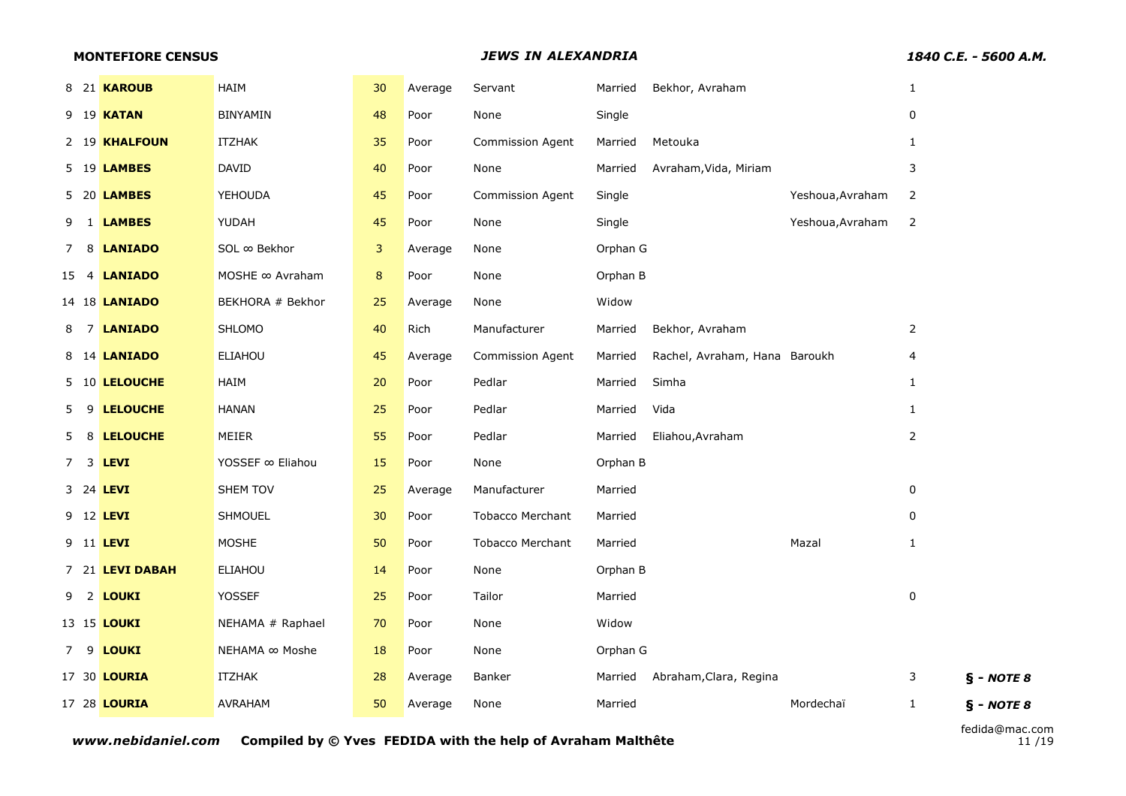|    | <b>MONTEFIORE CENSUS</b> |                  |    |         | <b>JEWS IN ALEXANDRIA</b> |          |                               | 1840 C.E. - 5600 A.M. |                |              |
|----|--------------------------|------------------|----|---------|---------------------------|----------|-------------------------------|-----------------------|----------------|--------------|
|    | 8 21 KAROUB              | HAIM             | 30 | Average | Servant                   | Married  | Bekhor, Avraham               |                       | $\mathbf{1}$   |              |
|    | 9 19 <b>KATAN</b>        | <b>BINYAMIN</b>  | 48 | Poor    | None                      | Single   |                               |                       | 0              |              |
|    | 2 19 KHALFOUN            | <b>ITZHAK</b>    | 35 | Poor    | Commission Agent          | Married  | Metouka                       |                       | $\mathbf{1}$   |              |
|    | 5 19 <b>LAMBES</b>       | DAVID            | 40 | Poor    | None                      | Married  | Avraham, Vida, Miriam         |                       | 3              |              |
|    | 5 20 <b>LAMBES</b>       | <b>YEHOUDA</b>   | 45 | Poor    | Commission Agent          | Single   |                               | Yeshoua, Avraham      | 2              |              |
|    | 9 1 <b>LAMBES</b>        | YUDAH            | 45 | Poor    | None                      | Single   |                               | Yeshoua, Avraham      | $\overline{2}$ |              |
|    | 7 8 <b>LANIADO</b>       | SOL ∞ Bekhor     | 3  | Average | None                      | Orphan G |                               |                       |                |              |
|    | 15 4 <b>LANIADO</b>      | MOSHE ∞ Avraham  | 8  | Poor    | None                      | Orphan B |                               |                       |                |              |
|    | 14 18 <b>LANIADO</b>     | BEKHORA # Bekhor | 25 | Average | None                      | Widow    |                               |                       |                |              |
|    | 8 7 <b>LANIADO</b>       | SHLOMO           | 40 | Rich    | Manufacturer              | Married  | Bekhor, Avraham               |                       | $\overline{2}$ |              |
|    | 8 14 <b>LANIADO</b>      | <b>ELIAHOU</b>   | 45 | Average | <b>Commission Agent</b>   | Married  | Rachel, Avraham, Hana Baroukh |                       | 4              |              |
|    | 5 10 LELOUCHE            | HAIM             | 20 | Poor    | Pedlar                    | Married  | Simha                         |                       | $\mathbf{1}$   |              |
| 5. | 9 LELOUCHE               | <b>HANAN</b>     | 25 | Poor    | Pedlar                    | Married  | Vida                          |                       | $\mathbf{1}$   |              |
|    | 5 8 LELOUCHE             | MEIER            | 55 | Poor    | Pedlar                    | Married  | Eliahou, Avraham              |                       | $\overline{2}$ |              |
|    | 7 3 <b>LEVI</b>          | YOSSEF ∞ Eliahou | 15 | Poor    | None                      | Orphan B |                               |                       |                |              |
|    | 3 24 LEVI                | SHEM TOV         | 25 | Average | Manufacturer              | Married  |                               |                       | 0              |              |
|    | 9 12 <b>LEVI</b>         | SHMOUEL          | 30 | Poor    | <b>Tobacco Merchant</b>   | Married  |                               |                       | $\mathbf{0}$   |              |
|    | 9 11 <b>LEVI</b>         | <b>MOSHE</b>     | 50 | Poor    | <b>Tobacco Merchant</b>   | Married  |                               | Mazal                 | $\mathbf{1}$   |              |
|    | 7 21 LEVI DABAH          | ELIAHOU          | 14 | Poor    | None                      | Orphan B |                               |                       |                |              |
|    | 9 2 <b>LOUKI</b>         | <b>YOSSEF</b>    | 25 | Poor    | Tailor                    | Married  |                               |                       | 0              |              |
|    | 13 15 <b>LOUKI</b>       | NEHAMA # Raphael | 70 | Poor    | None                      | Widow    |                               |                       |                |              |
|    | 7 9 LOUKI                | NEHAMA ∞ Moshe   | 18 | Poor    | None                      | Orphan G |                               |                       |                |              |
|    | 17 30 <b>LOURIA</b>      | ITZHAK           | 28 | Average | Banker                    | Married  | Abraham, Clara, Regina        |                       | 3              | $§ - NOTE 8$ |
|    | 17 28 <b>LOURIA</b>      | <b>AVRAHAM</b>   | 50 | Average | None                      | Married  |                               | Mordechaï             | $\mathbf{1}$   | $§ - NOTE 8$ |
|    |                          |                  |    |         |                           |          |                               |                       |                |              |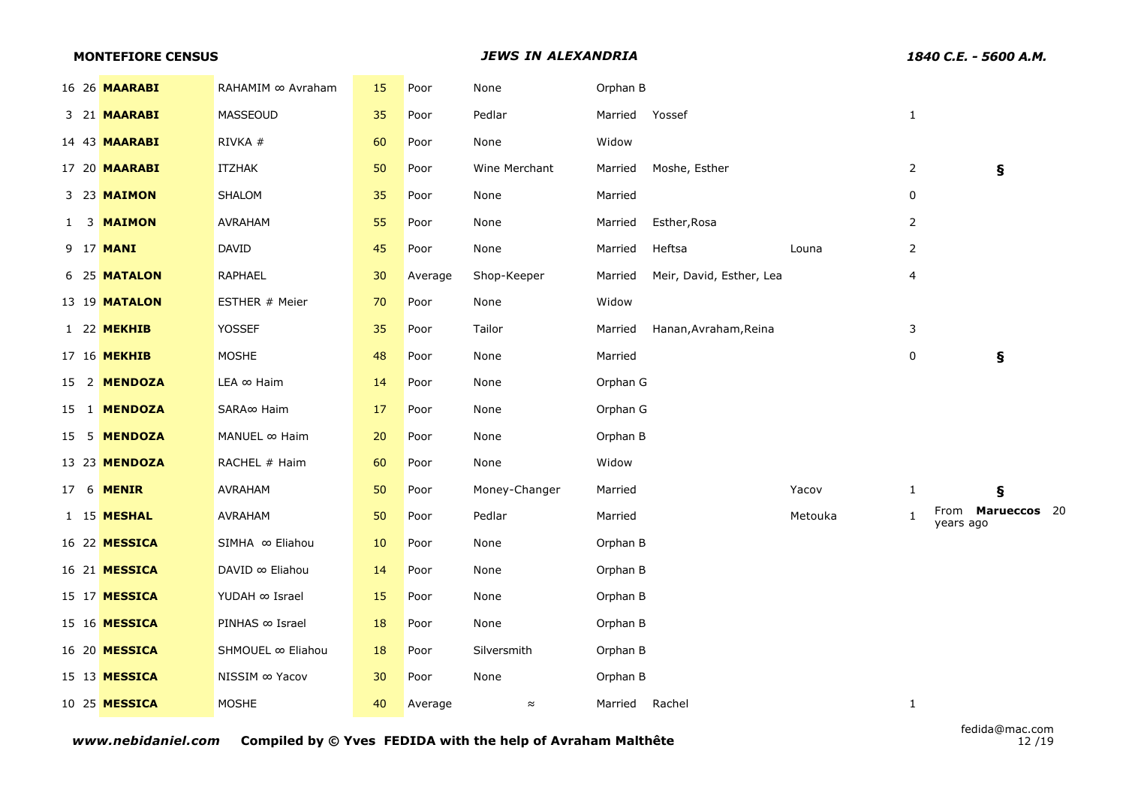|  | <b>MONTEFIORE CENSUS</b> |                        |    |         | <b>JEWS IN ALEXANDRIA</b> |          |                          | 1840 C.E. - 5600 A.M. |                |                                |
|--|--------------------------|------------------------|----|---------|---------------------------|----------|--------------------------|-----------------------|----------------|--------------------------------|
|  | 16 26 <b>MAARABI</b>     | RAHAMIM ∞ Avraham      | 15 | Poor    | None                      | Orphan B |                          |                       |                |                                |
|  | 3 21 <b>MAARABI</b>      | <b>MASSEOUD</b>        | 35 | Poor    | Pedlar                    | Married  | Yossef                   |                       | $\mathbf{1}$   |                                |
|  | 14 43 <b>MAARABI</b>     | RIVKA #                | 60 | Poor    | None                      | Widow    |                          |                       |                |                                |
|  | 17 20 <b>MAARABI</b>     | ITZHAK                 | 50 | Poor    | Wine Merchant             | Married  | Moshe, Esther            |                       | $\overline{2}$ | ş                              |
|  | 3 23 MAIMON              | SHALOM                 | 35 | Poor    | None                      | Married  |                          |                       | 0              |                                |
|  | 1 3 MAIMON               | AVRAHAM                | 55 | Poor    | None                      | Married  | Esther, Rosa             |                       | $\overline{2}$ |                                |
|  | 9 17 <b>MANI</b>         | <b>DAVID</b>           | 45 | Poor    | None                      | Married  | Heftsa                   | Louna                 | $\overline{2}$ |                                |
|  | 6 25 MATALON             | RAPHAEL                | 30 | Average | Shop-Keeper               | Married  | Meir, David, Esther, Lea |                       | 4              |                                |
|  | 13 19 <b>MATALON</b>     | ESTHER # Meier         | 70 | Poor    | None                      | Widow    |                          |                       |                |                                |
|  | 1 22 MEKHIB              | <b>YOSSEF</b>          | 35 | Poor    | Tailor                    | Married  | Hanan, Avraham, Reina    |                       | 3              |                                |
|  | 17 16 MEKHIB             | <b>MOSHE</b>           | 48 | Poor    | None                      | Married  |                          |                       | $\pmb{0}$      | ş                              |
|  | 15 2 MENDOZA             | $LEA \in$ Haim         | 14 | Poor    | None                      | Orphan G |                          |                       |                |                                |
|  | 15 1 MENDOZA             | SARA∞ Haim             | 17 | Poor    | None                      | Orphan G |                          |                       |                |                                |
|  | 15 5 MENDOZA             | MANUEL ∞ Haim          | 20 | Poor    | None                      | Orphan B |                          |                       |                |                                |
|  | 13 23 MENDOZA            | RACHEL # Haim          | 60 | Poor    | None                      | Widow    |                          |                       |                |                                |
|  | 17 6 <b>MENIR</b>        | AVRAHAM                | 50 | Poor    | Money-Changer             | Married  |                          | Yacov                 | $\mathbf{1}$   | Ş                              |
|  | 1 15 <b>MESHAL</b>       | AVRAHAM                | 50 | Poor    | Pedlar                    | Married  |                          | Metouka               | $\mathbf{1}$   | From Marueccos 20<br>years ago |
|  | 16 22 MESSICA            | SIMHA ∞ Eliahou        | 10 | Poor    | None                      | Orphan B |                          |                       |                |                                |
|  | 16 21 <b>MESSICA</b>     | DAVID ∞ Eliahou        | 14 | Poor    | None                      | Orphan B |                          |                       |                |                                |
|  | 15 17 MESSICA            | YUDAH $\infty$ Israel  | 15 | Poor    | None                      | Orphan B |                          |                       |                |                                |
|  | 15 16 <b>MESSICA</b>     | PINHAS $\infty$ Israel | 18 | Poor    | None                      | Orphan B |                          |                       |                |                                |
|  | 16 20 MESSICA            | SHMOUEL ∞ Eliahou      | 18 | Poor    | Silversmith               | Orphan B |                          |                       |                |                                |
|  | 15 13 MESSICA            | NISSIM $\infty$ Yacov  | 30 | Poor    | None                      | Orphan B |                          |                       |                |                                |
|  | 10 25 <b>MESSICA</b>     | <b>MOSHE</b>           | 40 | Average | $\approx$                 | Married  | Rachel                   |                       | $\mathbf{1}$   |                                |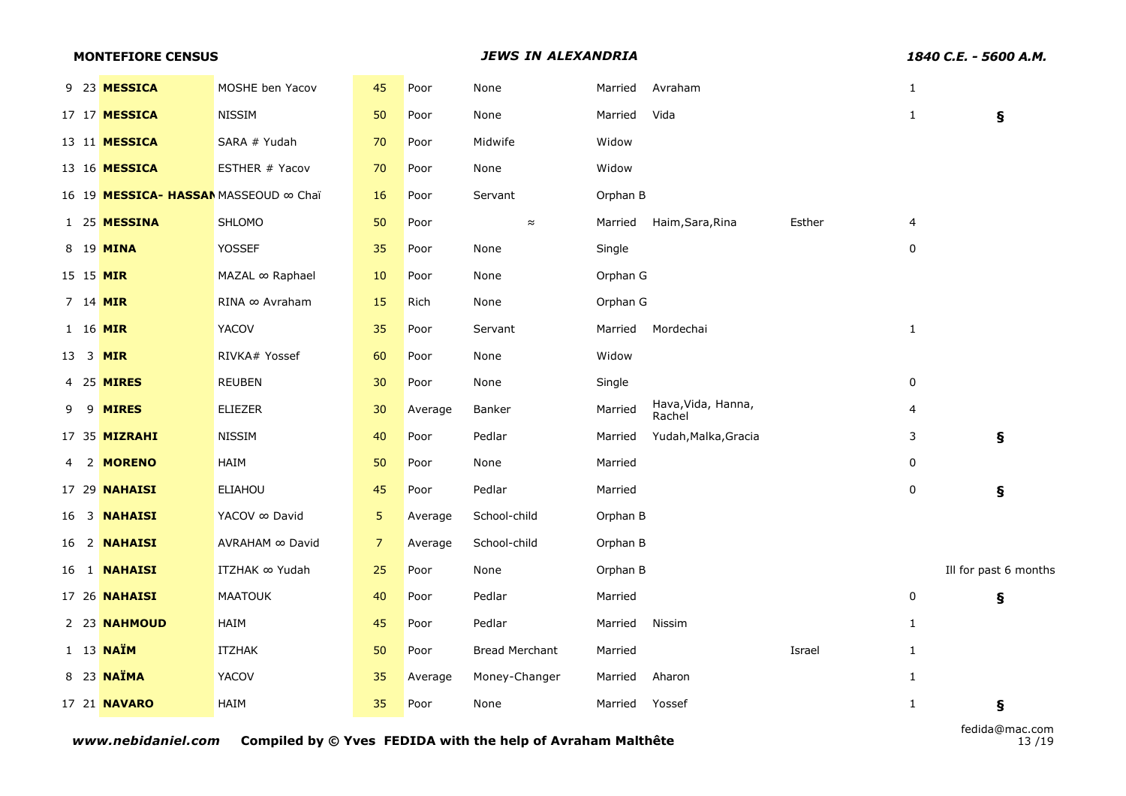|  |  |  |  |  | <b>MONTEFIORE CENSUS</b> |
|--|--|--|--|--|--------------------------|
|--|--|--|--|--|--------------------------|

**MONTEFIORE CENSUS** *JEWS IN ALEXANDRIA 1840 C.E. - 5600 A.M.*

|                 | 9 23 MESSICA                          | MOSHE ben Yacov       | 45             | Poor    | None           | Married  | Avraham                      |        | $\mathbf{1}$ |                       |
|-----------------|---------------------------------------|-----------------------|----------------|---------|----------------|----------|------------------------------|--------|--------------|-----------------------|
|                 | 17 17 <b>MESSICA</b>                  | <b>NISSIM</b>         | 50             | Poor    | None           | Married  | Vida                         |        | $\mathbf{1}$ | Ş                     |
|                 | 13 11 MESSICA                         | SARA # Yudah          | 70             | Poor    | Midwife        | Widow    |                              |        |              |                       |
|                 | 13 16 <b>MESSICA</b>                  | ESTHER # Yacov        | 70             | Poor    | None           | Widow    |                              |        |              |                       |
|                 | 16 19 MESSICA- HASSAN MASSEOUD ∞ Chaï |                       | 16             | Poor    | Servant        | Orphan B |                              |        |              |                       |
|                 | 1 25 MESSINA                          | <b>SHLOMO</b>         | 50             | Poor    | $\approx$      | Married  | Haim, Sara, Rina             | Esther | 4            |                       |
|                 | 8 19 MINA                             | <b>YOSSEF</b>         | 35             | Poor    | None           | Single   |                              |        | 0            |                       |
|                 | 15 15 MIR                             | MAZAL ∞ Raphael       | 10             | Poor    | None           | Orphan G |                              |        |              |                       |
|                 | 7 14 MIR                              | RINA ∞ Avraham        | 15             | Rich    | None           | Orphan G |                              |        |              |                       |
|                 | 1 16 MIR                              | YACOV                 | 35             | Poor    | Servant        | Married  | Mordechai                    |        | $\mathbf{1}$ |                       |
| 13 <sup>3</sup> | <b>MIR</b>                            | RIVKA# Yossef         | 60             | Poor    | None           | Widow    |                              |        |              |                       |
|                 | 4 25 <b>MIRES</b>                     | <b>REUBEN</b>         | 30             | Poor    | None           | Single   |                              |        | 0            |                       |
| 99              | <b>MIRES</b>                          | <b>ELIEZER</b>        | 30             | Average | Banker         | Married  | Hava, Vida, Hanna,<br>Rachel |        | 4            |                       |
|                 | 17 35 MIZRAHI                         | <b>NISSIM</b>         | 40             | Poor    | Pedlar         | Married  | Yudah, Malka, Gracia         |        | 3            | Ş                     |
|                 | 4 2 MORENO                            | HAIM                  | 50             | Poor    | None           | Married  |                              |        | 0            |                       |
|                 | 17 29 <b>NAHAISI</b>                  | ELIAHOU               | 45             | Poor    | Pedlar         | Married  |                              |        | 0            | Ş                     |
|                 | 16 3 <b>NAHAISI</b>                   | YACOV ∞ David         | 5              | Average | School-child   | Orphan B |                              |        |              |                       |
|                 | 16 2 <b>NAHAISI</b>                   | AVRAHAM ∞ David       | 7 <sup>2</sup> | Average | School-child   | Orphan B |                              |        |              |                       |
|                 | 16 1 <b>NAHAISI</b>                   | <b>ITZHAK ∞ Yudah</b> | 25             | Poor    | None           | Orphan B |                              |        |              | Ill for past 6 months |
|                 | 17 26 <b>NAHAISI</b>                  | <b>MAATOUK</b>        | 40             | Poor    | Pedlar         | Married  |                              |        | 0            | ş                     |
|                 | 2 23 NAHMOUD                          | HAIM                  | 45             | Poor    | Pedlar         | Married  | Nissim                       |        | $\mathbf{1}$ |                       |
|                 | 1 13 <b>NAÏM</b>                      | <b>ITZHAK</b>         | 50             | Poor    | Bread Merchant | Married  |                              | Israel | $\mathbf{1}$ |                       |
|                 | 8 23 NAÏMA                            | YACOV                 | 35             | Average | Money-Changer  | Married  | Aharon                       |        | $\mathbf{1}$ |                       |
|                 | 17 21 <b>NAVARO</b>                   | HAIM                  | 35             | Poor    | None           | Married  | Yossef                       |        | $\mathbf{1}$ | Ş                     |
|                 |                                       |                       |                |         |                |          |                              |        |              |                       |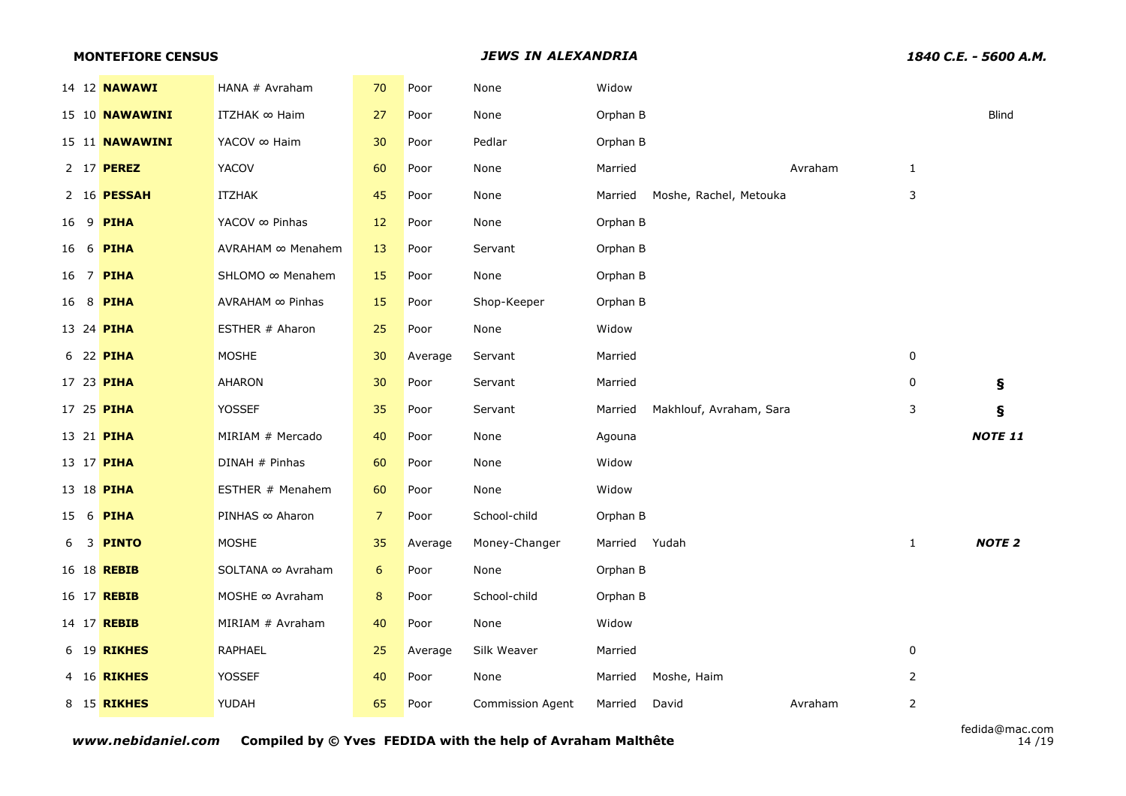| <b>MONTEFIORE CENSUS</b> |                            |                |         | <b>JEWS IN ALEXANDRIA</b> |               |                         |         | 1840 C.E. - 5600 A.M. |               |
|--------------------------|----------------------------|----------------|---------|---------------------------|---------------|-------------------------|---------|-----------------------|---------------|
| 14 12 <b>NAWAWI</b>      | HANA # Avraham             | 70             | Poor    | None                      | Widow         |                         |         |                       |               |
| 15 10 <b>NAWAWINI</b>    | ITZHAK $\infty$ Haim       | 27             | Poor    | None                      | Orphan B      |                         |         |                       | Blind         |
| 15 11 <b>NAWAWINI</b>    | YACOV ∞ Haim               | 30             | Poor    | Pedlar                    | Orphan B      |                         |         |                       |               |
| 2 17 <b>PEREZ</b>        | <b>YACOV</b>               | 60             | Poor    | None                      | Married       |                         | Avraham | $\mathbf{1}$          |               |
| 2 16 <b>PESSAH</b>       | <b>ITZHAK</b>              | 45             | Poor    | None                      | Married       | Moshe, Rachel, Metouka  |         | 3                     |               |
| 16 9 <b>PIHA</b>         | YACOV $\infty$ Pinhas      | 12             | Poor    | None                      | Orphan B      |                         |         |                       |               |
| 16 6 <b>PIHA</b>         | AVRAHAM ∞ Menahem          | 13             | Poor    | Servant                   | Orphan B      |                         |         |                       |               |
| 16 7 PIHA                | SHLOMO ∞ Menahem           | 15             | Poor    | None                      | Orphan B      |                         |         |                       |               |
| 16 8 <b>PIHA</b>         | $AVRAHAM \n~\infty$ Pinhas | 15             | Poor    | Shop-Keeper               | Orphan B      |                         |         |                       |               |
| 13 24 <b>PIHA</b>        | ESTHER # Aharon            | 25             | Poor    | None                      | Widow         |                         |         |                       |               |
| 6 22 PIHA                | <b>MOSHE</b>               | 30             | Average | Servant                   | Married       |                         |         | 0                     |               |
| 17 23 <b>PIHA</b>        | <b>AHARON</b>              | 30             | Poor    | Servant                   | Married       |                         |         | 0                     | S             |
| 17 25 <b>PIHA</b>        | YOSSEF                     | 35             | Poor    | Servant                   | Married       | Makhlouf, Avraham, Sara |         | 3                     | ş             |
| 13 21 <b>PIHA</b>        | MIRIAM # Mercado           | 40             | Poor    | None                      | Agouna        |                         |         |                       | NOTE 11       |
| 13 17 <b>PIHA</b>        | DINAH # Pinhas             | 60             | Poor    | None                      | Widow         |                         |         |                       |               |
| 13 18 <b>PIHA</b>        | ESTHER # Menahem           | 60             | Poor    | None                      | Widow         |                         |         |                       |               |
| 15 6 <b>PIHA</b>         | PINHAS ∞ Aharon            | $\overline{z}$ | Poor    | School-child              | Orphan B      |                         |         |                       |               |
| 6 3 <b>PINTO</b>         | <b>MOSHE</b>               | 35             | Average | Money-Changer             | Married Yudah |                         |         | $\mathbf{1}$          | <b>NOTE 2</b> |
| 16 18 <b>REBIB</b>       | SOLTANA ∞ Avraham          | 6              | Poor    | None                      | Orphan B      |                         |         |                       |               |
| 16 17 <b>REBIB</b>       | MOSHE $\infty$ Avraham     | $\bf 8$        | Poor    | School-child              | Orphan B      |                         |         |                       |               |
| 14 17 <b>REBIB</b>       | MIRIAM # Avraham           | 40             | Poor    | None                      | Widow         |                         |         |                       |               |
| 6 19 <b>RIKHES</b>       | RAPHAEL                    | 25             | Average | Silk Weaver               | Married       |                         |         | 0                     |               |
| 4 16 <b>RIKHES</b>       | YOSSEF                     | 40             | Poor    | None                      | Married       | Moshe, Haim             |         | $\overline{2}$        |               |
| 8 15 <b>RIKHES</b>       | YUDAH                      | 65             | Poor    | <b>Commission Agent</b>   | Married       | David                   | Avraham | $\overline{2}$        |               |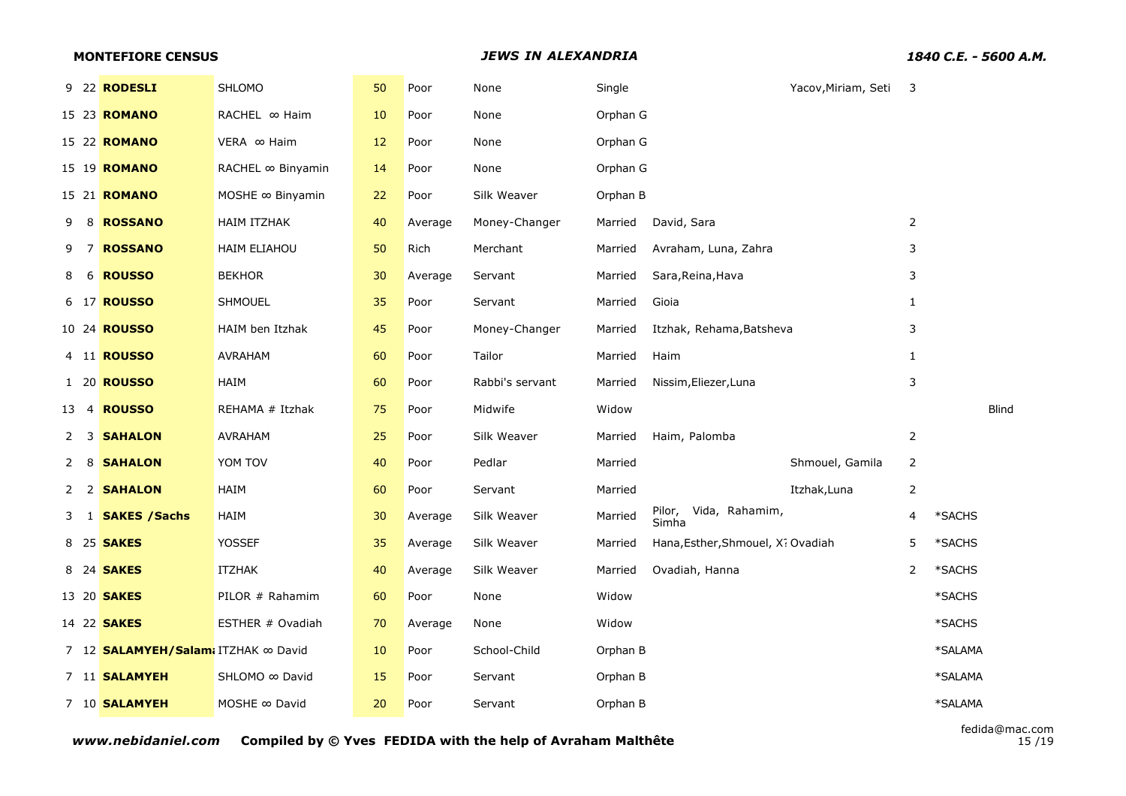|      | 9 22 RODESLI<br>15 23 <b>ROMANO</b><br>15 22 <b>ROMANO</b> | SHLOMO<br>RACHEL ∞ Haim | 50 | Poor    |                 |          |                                   |                     |                          |              |
|------|------------------------------------------------------------|-------------------------|----|---------|-----------------|----------|-----------------------------------|---------------------|--------------------------|--------------|
|      |                                                            |                         |    |         | None            | Single   |                                   | Yacov, Miriam, Seti | $\overline{\phantom{a}}$ |              |
|      |                                                            |                         | 10 | Poor    | None            | Orphan G |                                   |                     |                          |              |
|      |                                                            | VERA ∞ Haim             | 12 | Poor    | None            | Orphan G |                                   |                     |                          |              |
|      | 15 19 <b>ROMANO</b>                                        | RACHEL ∞ Binyamin       | 14 | Poor    | None            | Orphan G |                                   |                     |                          |              |
|      | 15 21 <b>ROMANO</b>                                        | MOSHE $\infty$ Binyamin | 22 | Poor    | Silk Weaver     | Orphan B |                                   |                     |                          |              |
| 9    | 8 ROSSANO                                                  | <b>HAIM ITZHAK</b>      | 40 | Average | Money-Changer   | Married  | David, Sara                       |                     | 2                        |              |
| 97   | <b>ROSSANO</b>                                             | <b>HAIM ELIAHOU</b>     | 50 | Rich    | Merchant        | Married  | Avraham, Luna, Zahra              |                     | 3                        |              |
| 8    | 6 ROUSSO                                                   | <b>BEKHOR</b>           | 30 | Average | Servant         | Married  | Sara, Reina, Hava                 |                     | 3                        |              |
|      | 6 17 <b>ROUSSO</b>                                         | <b>SHMOUEL</b>          | 35 | Poor    | Servant         | Married  | Gioia                             |                     | $\mathbf{1}$             |              |
|      | 10 24 <b>ROUSSO</b>                                        | HAIM ben Itzhak         | 45 | Poor    | Money-Changer   | Married  | Itzhak, Rehama, Batsheva          |                     | 3                        |              |
|      | 4 11 <b>ROUSSO</b>                                         | AVRAHAM                 | 60 | Poor    | Tailor          | Married  | Haim                              |                     | $\mathbf{1}$             |              |
|      | 1 20 <b>ROUSSO</b>                                         | HAIM                    | 60 | Poor    | Rabbi's servant | Married  | Nissim, Eliezer, Luna             |                     | 3                        |              |
| 13 4 | <b>ROUSSO</b>                                              | REHAMA # Itzhak         | 75 | Poor    | Midwife         | Widow    |                                   |                     |                          | <b>Blind</b> |
|      | 2 3 SAHALON                                                | AVRAHAM                 | 25 | Poor    | Silk Weaver     | Married  | Haim, Palomba                     |                     | $\overline{2}$           |              |
| 2 8  | <b>SAHALON</b>                                             | YOM TOV                 | 40 | Poor    | Pedlar          | Married  |                                   | Shmouel, Gamila     | $\overline{2}$           |              |
|      | 2 2 SAHALON                                                | HAIM                    | 60 | Poor    | Servant         | Married  |                                   | Itzhak, Luna        | $\overline{2}$           |              |
|      | 3 1 <b>SAKES / Sachs</b>                                   | HAIM                    | 30 | Average | Silk Weaver     | Married  | Pilor, Vida, Rahamim,<br>Simha    |                     | 4                        | *SACHS       |
|      | 8 25 <b>SAKES</b>                                          | <b>YOSSEF</b>           | 35 | Average | Silk Weaver     | Married  | Hana, Esther, Shmouel, X: Ovadiah |                     | 5                        | *SACHS       |
|      | 8 24 <b>SAKES</b>                                          | ITZHAK                  | 40 | Average | Silk Weaver     | Married  | Ovadiah, Hanna                    |                     | 2                        | *SACHS       |
|      | 13 20 <b>SAKES</b>                                         | PILOR # Rahamim         | 60 | Poor    | None            | Widow    |                                   |                     |                          | *SACHS       |
|      | 14 22 <b>SAKES</b>                                         | ESTHER # Ovadiah        | 70 | Average | None            | Widow    |                                   |                     |                          | *SACHS       |
|      | 7 12 <b>SALAMYEH/Salam</b> i ITZHAK ∞ David                |                         | 10 | Poor    | School-Child    | Orphan B |                                   |                     |                          | *SALAMA      |
|      | 7 11 <b>SALAMYEH</b>                                       | SHLOMO ∞ David          | 15 | Poor    | Servant         | Orphan B |                                   |                     |                          | *SALAMA      |
|      | 7 10 SALAMYEH                                              | MOSHE $\infty$ David    | 20 | Poor    | Servant         | Orphan B |                                   |                     |                          | *SALAMA      |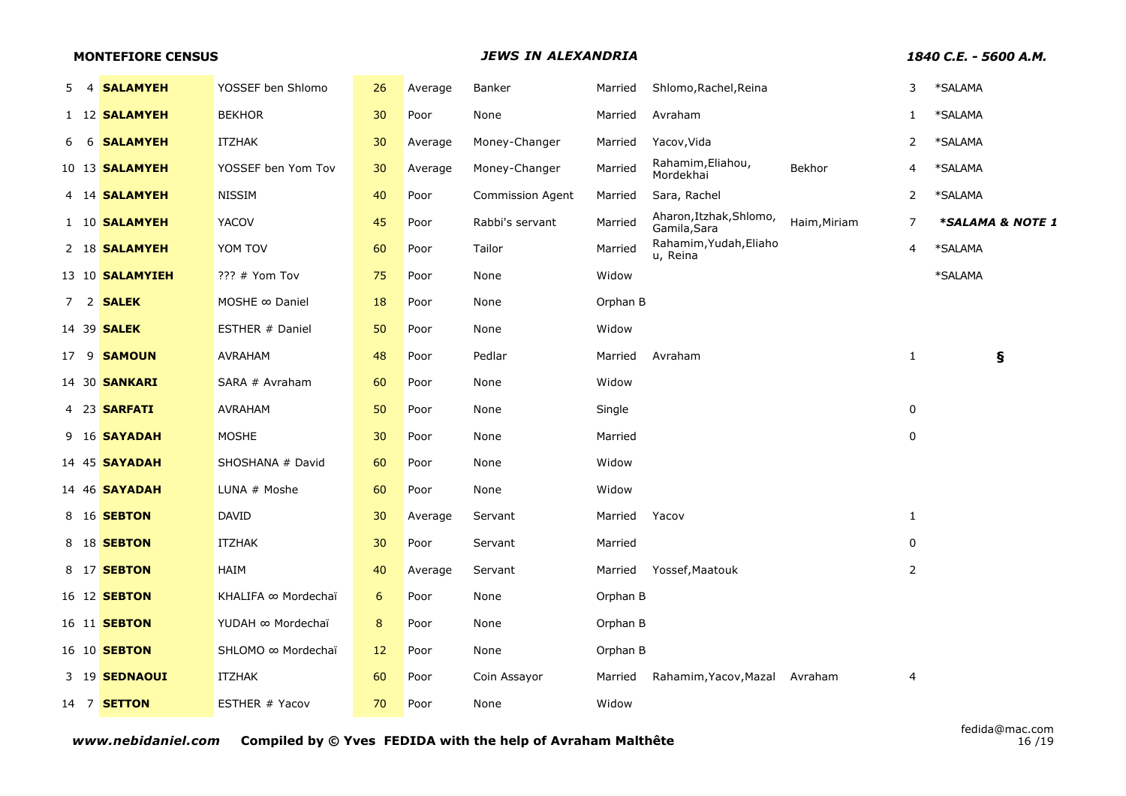## **MONTEFIORE CENSUS** *JEWS IN ALEXANDRIA 1840 C.E. - 5600 A.M.*

| 5. | 4 SALAMYEH             | YOSSEF ben Shlomo     | 26 | Average | Banker                  | Married  | Shlomo, Rachel, Reina                   |              | 3              | *SALAMA          |
|----|------------------------|-----------------------|----|---------|-------------------------|----------|-----------------------------------------|--------------|----------------|------------------|
|    | 1 12 SALAMYEH          | <b>BEKHOR</b>         | 30 | Poor    | None                    | Married  | Avraham                                 |              | 1              | *SALAMA          |
|    | 6 6 <b>SALAMYEH</b>    | <b>ITZHAK</b>         | 30 | Average | Money-Changer           | Married  | Yacov, Vida                             |              | $\overline{2}$ | *SALAMA          |
|    | 10 13 <b>SALAMYEH</b>  | YOSSEF ben Yom Tov    | 30 | Average | Money-Changer           | Married  | Rahamim, Eliahou,<br>Mordekhai          | Bekhor       | 4              | *SALAMA          |
|    | 4 14 <b>SALAMYEH</b>   | <b>NISSIM</b>         | 40 | Poor    | <b>Commission Agent</b> | Married  | Sara, Rachel                            |              | $\overline{2}$ | *SALAMA          |
|    | 1 10 <b>SALAMYEH</b>   | <b>YACOV</b>          | 45 | Poor    | Rabbi's servant         | Married  | Aharon, Itzhak, Shlomo,<br>Gamila, Sara | Haim, Miriam | $\overline{7}$ | *SALAMA & NOTE 1 |
|    | 2 18 SALAMYEH          | YOM TOV               | 60 | Poor    | Tailor                  | Married  | Rahamim, Yudah, Eliaho<br>u, Reina      |              | 4              | *SALAMA          |
|    | 13 10 <b>SALAMYIEH</b> | ??? # Yom Tov         | 75 | Poor    | None                    | Widow    |                                         |              |                | *SALAMA          |
|    | 7 2 <b>SALEK</b>       | MOSHE $\infty$ Daniel | 18 | Poor    | None                    | Orphan B |                                         |              |                |                  |
|    | 14 39 <b>SALEK</b>     | ESTHER # Daniel       | 50 | Poor    | None                    | Widow    |                                         |              |                |                  |
|    | 17 9 <b>SAMOUN</b>     | AVRAHAM               | 48 | Poor    | Pedlar                  | Married  | Avraham                                 |              | 1              | ş                |
|    | 14 30 <b>SANKARI</b>   | SARA # Avraham        | 60 | Poor    | None                    | Widow    |                                         |              |                |                  |
|    | 4 23 <b>SARFATI</b>    | <b>AVRAHAM</b>        | 50 | Poor    | None                    | Single   |                                         |              | 0              |                  |
|    | 9 16 <b>SAYADAH</b>    | <b>MOSHE</b>          | 30 | Poor    | None                    | Married  |                                         |              | 0              |                  |
|    | 14 45 <b>SAYADAH</b>   | SHOSHANA # David      | 60 | Poor    | None                    | Widow    |                                         |              |                |                  |
|    | 14 46 <b>SAYADAH</b>   | LUNA # Moshe          | 60 | Poor    | None                    | Widow    |                                         |              |                |                  |
|    | 8 16 <b>SEBTON</b>     | DAVID                 | 30 | Average | Servant                 | Married  | Yacov                                   |              | 1              |                  |
|    | 8 18 <b>SEBTON</b>     | <b>ITZHAK</b>         | 30 | Poor    | Servant                 | Married  |                                         |              | 0              |                  |
|    | 8 17 <b>SEBTON</b>     | HAIM                  | 40 | Average | Servant                 | Married  | Yossef, Maatouk                         |              | 2              |                  |
|    | 16 12 <b>SEBTON</b>    | KHALIFA ∞ Mordechaï   | 6  | Poor    | None                    | Orphan B |                                         |              |                |                  |
|    | 16 11 <b>SEBTON</b>    | YUDAH ∞ Mordechaï     | 8  | Poor    | None                    | Orphan B |                                         |              |                |                  |
|    | 16 10 <b>SEBTON</b>    | SHLOMO ∞ Mordechaï    | 12 | Poor    | None                    | Orphan B |                                         |              |                |                  |
|    | 3 19 SEDNAOUI          | <b>ITZHAK</b>         | 60 | Poor    | Coin Assayor            | Married  | Rahamim, Yacov, Mazal                   | Avraham      | 4              |                  |
|    | 14 7 <b>SETTON</b>     | ESTHER # Yacov        | 70 | Poor    | None                    | Widow    |                                         |              |                |                  |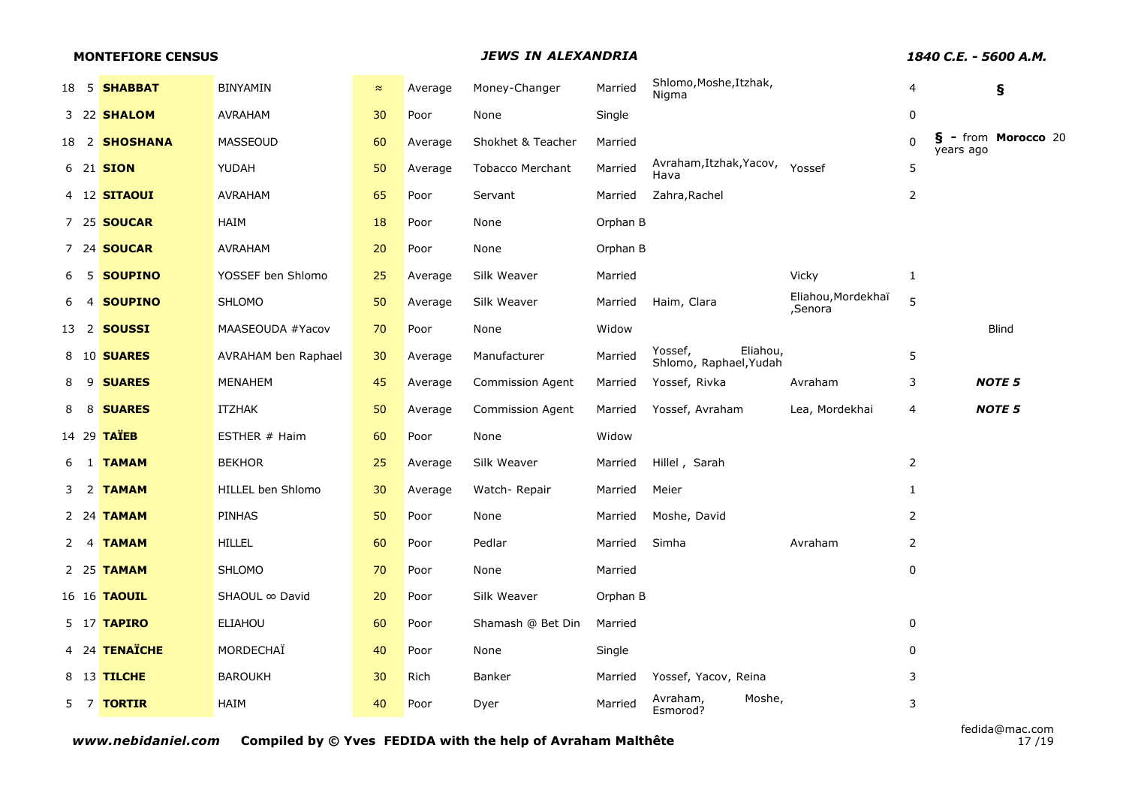|    | <b>MONTEFIORE CENSUS</b> |                            |           |         | <b>JEWS IN ALEXANDRIA</b> |          |                                               |                               |                | 1840 C.E. - 5600 A.M.            |
|----|--------------------------|----------------------------|-----------|---------|---------------------------|----------|-----------------------------------------------|-------------------------------|----------------|----------------------------------|
|    | 18 5 <b>SHABBAT</b>      | <b>BINYAMIN</b>            | $\approx$ | Average | Money-Changer             | Married  | Shlomo, Moshe, Itzhak,<br>Nigma               |                               | 4              | Ş                                |
|    | 3 22 <b>SHALOM</b>       | AVRAHAM                    | 30        | Poor    | None                      | Single   |                                               |                               | $\mathbf 0$    |                                  |
|    | 18 2 SHOSHANA            | <b>MASSEOUD</b>            | 60        | Average | Shokhet & Teacher         | Married  |                                               |                               | $\Omega$       | § - from Morocco 20<br>years ago |
|    | 6 21 <b>SION</b>         | YUDAH                      | 50        | Average | <b>Tobacco Merchant</b>   | Married  | Avraham, Itzhak, Yacov, Yossef<br>Hava        |                               | 5              |                                  |
|    | 4 12 <b>SITAOUI</b>      | <b>AVRAHAM</b>             | 65        | Poor    | Servant                   | Married  | Zahra, Rachel                                 |                               | $\overline{2}$ |                                  |
|    | 7 25 <b>SOUCAR</b>       | HAIM                       | 18        | Poor    | None                      | Orphan B |                                               |                               |                |                                  |
|    | 7 24 <b>SOUCAR</b>       | <b>AVRAHAM</b>             | 20        | Poor    | None                      | Orphan B |                                               |                               |                |                                  |
|    | 5 SOUPINO                | YOSSEF ben Shlomo          | 25        | Average | Silk Weaver               | Married  |                                               | Vicky                         | $\mathbf{1}$   |                                  |
| -4 | <b>SOUPINO</b>           | <b>SHLOMO</b>              | 50        | Average | Silk Weaver               | Married  | Haim, Clara                                   | Eliahou, Mordekhaï<br>,Senora | 5              |                                  |
|    | 13 2 <b>SOUSSI</b>       | MAASEOUDA #Yacov           | 70        | Poor    | None                      | Widow    |                                               |                               |                | Blind                            |
|    | 8 10 <b>SUARES</b>       | <b>AVRAHAM ben Raphael</b> | 30        | Average | Manufacturer              | Married  | Eliahou,<br>Yossef,<br>Shlomo, Raphael, Yudah |                               | 5              |                                  |
|    | 8 9 <b>SUARES</b>        | <b>MENAHEM</b>             | 45        | Average | Commission Agent          | Married  | Yossef, Rivka                                 | Avraham                       | 3              | <b>NOTE 5</b>                    |
|    | 8 8 SUARES               | <b>ITZHAK</b>              | 50        | Average | Commission Agent          | Married  | Yossef, Avraham                               | Lea, Mordekhai                | 4              | <b>NOTE 5</b>                    |
|    | 14 29 TAÏEB              | ESTHER # Haim              | 60        | Poor    | None                      | Widow    |                                               |                               |                |                                  |
|    | 6 1 <b>TAMAM</b>         | <b>BEKHOR</b>              | 25        | Average | Silk Weaver               | Married  | Hillel, Sarah                                 |                               | 2              |                                  |
|    | 3 2 <b>TAMAM</b>         | HILLEL ben Shlomo          | 30        | Average | Watch-Repair              | Married  | Meier                                         |                               | $\mathbf{1}$   |                                  |
|    | 2 24 <b>TAMAM</b>        | <b>PINHAS</b>              | 50        | Poor    | None                      | Married  | Moshe, David                                  |                               | $\overline{2}$ |                                  |
|    | 2 4 TAMAM                | <b>HILLEL</b>              | 60        | Poor    | Pedlar                    | Married  | Simha                                         | Avraham                       | $\overline{2}$ |                                  |
|    | 2 25 <b>TAMAM</b>        | <b>SHLOMO</b>              | 70        | Poor    | None                      | Married  |                                               |                               | 0              |                                  |
|    | 16 16 <b>TAOUIL</b>      | SHAOUL ∞ David             | 20        | Poor    | Silk Weaver               | Orphan B |                                               |                               |                |                                  |
|    | 5 17 <b>TAPIRO</b>       | <b>ELIAHOU</b>             | 60        | Poor    | Shamash @ Bet Din         | Married  |                                               |                               | 0              |                                  |
|    | 4 24 TENAÏCHE            | MORDECHAÏ                  | 40        | Poor    | None                      | Single   |                                               |                               | 0              |                                  |
|    | 8 13 TILCHE              | <b>BAROUKH</b>             | 30        | Rich    | Banker                    | Married  | Yossef, Yacov, Reina                          |                               | $\mathsf 3$    |                                  |
|    | 5 7 TORTIR               | HAIM                       | 40        | Poor    | Dyer                      | Married  | Avraham,<br>Moshe,<br>Esmorod?                |                               | 3              |                                  |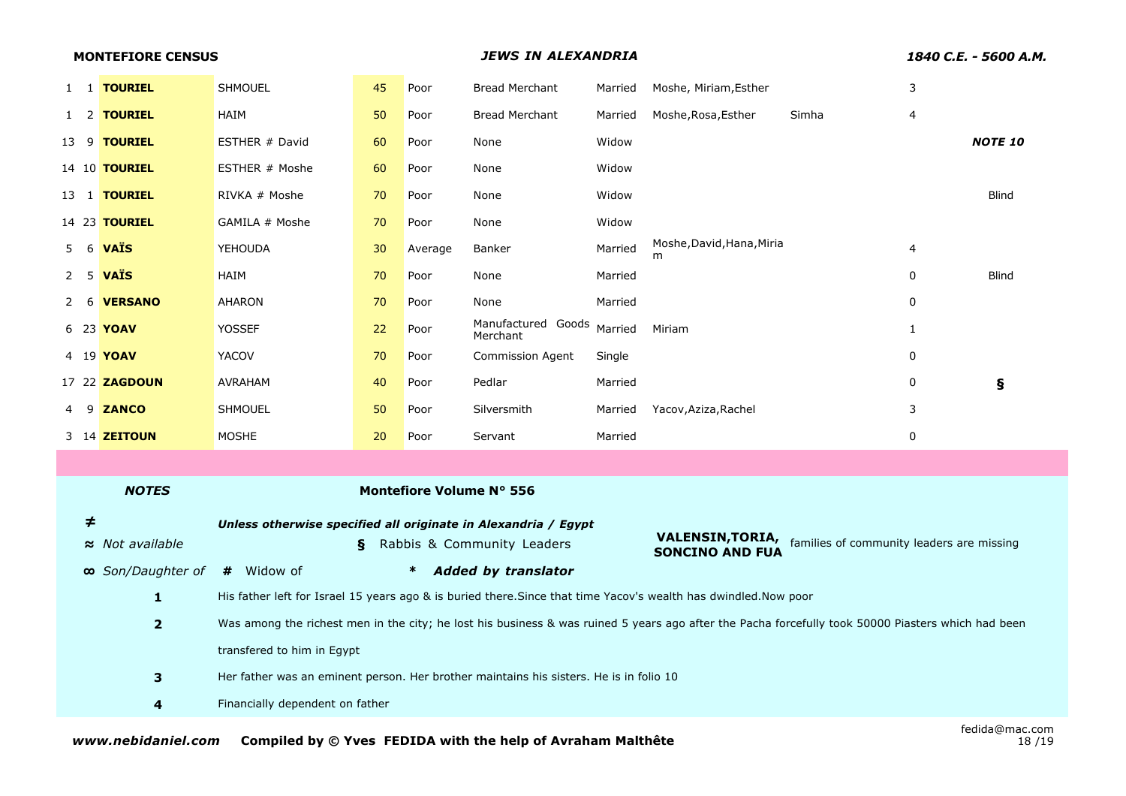|        | <b>MONTEFIORE CENSUS</b> |                                                                                                                                                    |                                 |         | <b>JEWS IN ALEXANDRIA</b>      |         |                                                                                                                  |       |              | 1840 C.E. - 5600 A.M. |
|--------|--------------------------|----------------------------------------------------------------------------------------------------------------------------------------------------|---------------------------------|---------|--------------------------------|---------|------------------------------------------------------------------------------------------------------------------|-------|--------------|-----------------------|
|        | 1 1 TOURIEL              | <b>SHMOUEL</b>                                                                                                                                     | 45                              | Poor    | <b>Bread Merchant</b>          | Married | Moshe, Miriam, Esther                                                                                            |       | 3            |                       |
|        | 1 2 <b>TOURIEL</b>       | HAIM                                                                                                                                               | 50                              | Poor    | <b>Bread Merchant</b>          | Married | Moshe, Rosa, Esther                                                                                              | Simha | 4            |                       |
|        | 13 9 <b>TOURIEL</b>      | ESTHER # David                                                                                                                                     | 60                              | Poor    | None                           | Widow   |                                                                                                                  |       |              | <b>NOTE 10</b>        |
|        | 14 10 <b>TOURIEL</b>     | ESTHER # Moshe                                                                                                                                     | 60                              | Poor    | None                           | Widow   |                                                                                                                  |       |              |                       |
|        | 13 1 <b>TOURIEL</b>      | RIVKA # Moshe                                                                                                                                      | 70                              | Poor    | None                           | Widow   |                                                                                                                  |       |              | <b>Blind</b>          |
|        | 14 23 <b>TOURIEL</b>     | GAMILA # Moshe                                                                                                                                     | 70                              | Poor    | None                           | Widow   |                                                                                                                  |       |              |                       |
|        | 5 6 <b>VAIS</b>          | <b>YEHOUDA</b>                                                                                                                                     | 30                              | Average | Banker                         | Married | Moshe, David, Hana, Miria<br>m                                                                                   |       | 4            |                       |
|        | $2 \quad 5$ VAIS         | HAIM                                                                                                                                               | 70                              | Poor    | None                           | Married |                                                                                                                  |       | 0            | <b>Blind</b>          |
|        | 2 6 VERSANO              | AHARON                                                                                                                                             | 70                              | Poor    | None                           | Married |                                                                                                                  |       | 0            |                       |
|        | 6 23 <b>YOAV</b>         | <b>YOSSEF</b>                                                                                                                                      | 22                              | Poor    | Manufactured Goods<br>Merchant | Married | Miriam                                                                                                           |       | $\mathbf{1}$ |                       |
|        | 4 19 <b>YOAV</b>         | <b>YACOV</b>                                                                                                                                       | 70                              | Poor    | <b>Commission Agent</b>        | Single  |                                                                                                                  |       | 0            |                       |
|        | 17 22 ZAGDOUN            | <b>AVRAHAM</b>                                                                                                                                     | 40                              | Poor    | Pedlar                         | Married |                                                                                                                  |       | 0            | ş                     |
|        | 9 ZANCO                  | <b>SHMOUEL</b>                                                                                                                                     | 50                              | Poor    | Silversmith                    | Married | Yacov, Aziza, Rachel                                                                                             |       | 3            |                       |
|        | 3 14 <b>ZEITOUN</b>      | <b>MOSHE</b>                                                                                                                                       | 20                              | Poor    | Servant                        | Married |                                                                                                                  |       | 0            |                       |
|        |                          |                                                                                                                                                    |                                 |         |                                |         |                                                                                                                  |       |              |                       |
|        | <b>NOTES</b>             |                                                                                                                                                    |                                 |         | Montefiore Volume Nº 556       |         |                                                                                                                  |       |              |                       |
| $\neq$ |                          | Unless otherwise specified all originate in Alexandria / Egypt                                                                                     |                                 |         |                                |         |                                                                                                                  |       |              |                       |
|        | $\approx$ Not available  |                                                                                                                                                    | ş                               |         | Rabbis & Community Leaders     |         | <b>VALENSIN, TORIA,</b> families of community leaders are missing<br><b>SONCINO AND FUA</b>                      |       |              |                       |
|        | ∞ Son/Daughter of        | # Widow of                                                                                                                                         |                                 | $\ast$  | <b>Added by translator</b>     |         |                                                                                                                  |       |              |                       |
|        | $\mathbf{1}$             |                                                                                                                                                    |                                 |         |                                |         | His father left for Israel 15 years ago & is buried there. Since that time Yacov's wealth has dwindled. Now poor |       |              |                       |
|        | $\overline{\mathbf{2}}$  | Was among the richest men in the city; he lost his business & was ruined 5 years ago after the Pacha forcefully took 50000 Piasters which had been |                                 |         |                                |         |                                                                                                                  |       |              |                       |
|        |                          | transfered to him in Egypt                                                                                                                         |                                 |         |                                |         |                                                                                                                  |       |              |                       |
|        | $\mathbf{3}$             | Her father was an eminent person. Her brother maintains his sisters. He is in folio 10                                                             |                                 |         |                                |         |                                                                                                                  |       |              |                       |
|        | 4                        |                                                                                                                                                    | Financially dependent on father |         |                                |         |                                                                                                                  |       |              |                       |